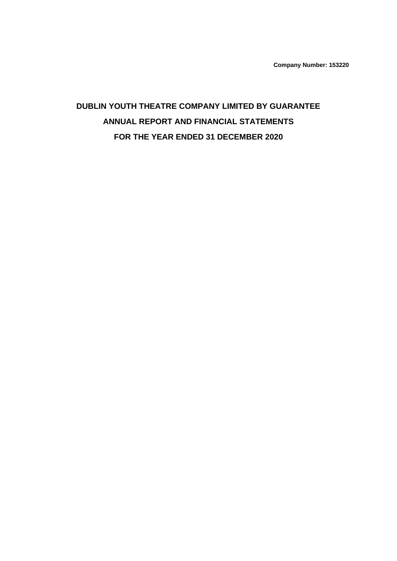**Company Number: 153220**

# **DUBLIN YOUTH THEATRE COMPANY LIMITED BY GUARANTEE ANNUAL REPORT AND FINANCIAL STATEMENTS FOR THE YEAR ENDED 31 DECEMBER 2020**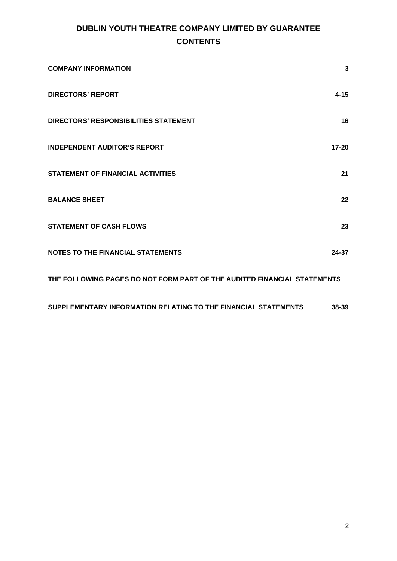# **DUBLIN YOUTH THEATRE COMPANY LIMITED BY GUARANTEE CONTENTS**

| <b>COMPANY INFORMATION</b>                                               | 3         |
|--------------------------------------------------------------------------|-----------|
| <b>DIRECTORS' REPORT</b>                                                 | $4 - 15$  |
| <b>DIRECTORS' RESPONSIBILITIES STATEMENT</b>                             | 16        |
| <b>INDEPENDENT AUDITOR'S REPORT</b>                                      | $17 - 20$ |
| <b>STATEMENT OF FINANCIAL ACTIVITIES</b>                                 | 21        |
| <b>BALANCE SHEET</b>                                                     | 22        |
| <b>STATEMENT OF CASH FLOWS</b>                                           | 23        |
| <b>NOTES TO THE FINANCIAL STATEMENTS</b>                                 | 24-37     |
| THE FOLLOWING PAGES DO NOT FORM PART OF THE AUDITED FINANCIAL STATEMENTS |           |

**[SUPPLEMENTARY INFORMATION RELATING TO THE FINANCIAL STATEMENTS](#page-37-0) 38-39**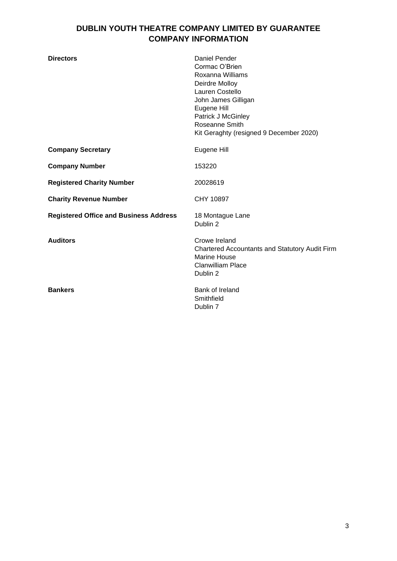# **DUBLIN YOUTH THEATRE COMPANY LIMITED BY GUARANTEE COMPANY INFORMATION**

<span id="page-2-0"></span>

| <b>Directors</b>                              | Daniel Pender<br>Cormac O'Brien<br>Roxanna Williams<br>Deirdre Molloy<br>Lauren Costello<br>John James Gilligan<br>Eugene Hill<br>Patrick J McGinley<br>Roseanne Smith<br>Kit Geraghty (resigned 9 December 2020) |
|-----------------------------------------------|-------------------------------------------------------------------------------------------------------------------------------------------------------------------------------------------------------------------|
| <b>Company Secretary</b>                      | Eugene Hill                                                                                                                                                                                                       |
| <b>Company Number</b>                         | 153220                                                                                                                                                                                                            |
| <b>Registered Charity Number</b>              | 20028619                                                                                                                                                                                                          |
| <b>Charity Revenue Number</b>                 | CHY 10897                                                                                                                                                                                                         |
| <b>Registered Office and Business Address</b> | 18 Montague Lane<br>Dublin 2                                                                                                                                                                                      |
| <b>Auditors</b>                               | Crowe Ireland<br><b>Chartered Accountants and Statutory Audit Firm</b><br><b>Marine House</b><br><b>Clanwilliam Place</b><br>Dublin 2                                                                             |
| <b>Bankers</b>                                | Bank of Ireland<br>Smithfield<br>Dublin 7                                                                                                                                                                         |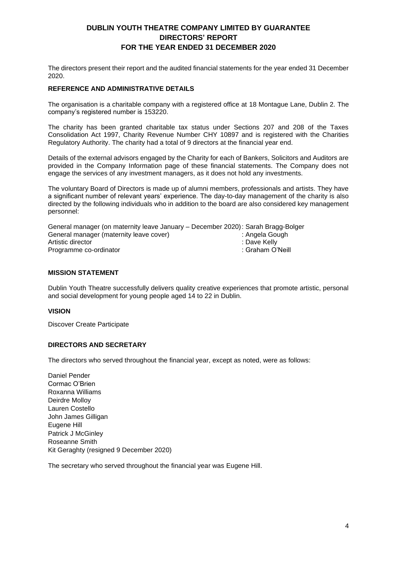<span id="page-3-0"></span>The directors present their report and the audited financial statements for the year ended 31 December 2020.

#### **REFERENCE AND ADMINISTRATIVE DETAILS**

The organisation is a charitable company with a registered office at 18 Montague Lane, Dublin 2. The company's registered number is 153220.

The charity has been granted charitable tax status under Sections 207 and 208 of the Taxes Consolidation Act 1997, Charity Revenue Number CHY 10897 and is registered with the Charities Regulatory Authority. The charity had a total of 9 directors at the financial year end.

Details of the external advisors engaged by the Charity for each of Bankers, Solicitors and Auditors are provided in the Company Information page of these financial statements. The Company does not engage the services of any investment managers, as it does not hold any investments.

The voluntary Board of Directors is made up of alumni members, professionals and artists. They have a significant number of relevant years' experience. The day-to-day management of the charity is also directed by the following individuals who in addition to the board are also considered key management personnel:

| General manager (on maternity leave January – December 2020): Sarah Bragg-Bolger |                  |
|----------------------------------------------------------------------------------|------------------|
| General manager (maternity leave cover)                                          | : Angela Gough   |
| Artistic director                                                                | :Dave Kellv:     |
| Programme co-ordinator                                                           | : Graham O'Neill |

#### **MISSION STATEMENT**

Dublin Youth Theatre successfully delivers quality creative experiences that promote artistic, personal and social development for young people aged 14 to 22 in Dublin.

#### **VISION**

Discover Create Participate

#### **DIRECTORS AND SECRETARY**

The directors who served throughout the financial year, except as noted, were as follows:

Daniel Pender Cormac O'Brien Roxanna Williams Deirdre Molloy Lauren Costello John James Gilligan Eugene Hill Patrick J McGinley Roseanne Smith Kit Geraghty (resigned 9 December 2020)

The secretary who served throughout the financial year was Eugene Hill.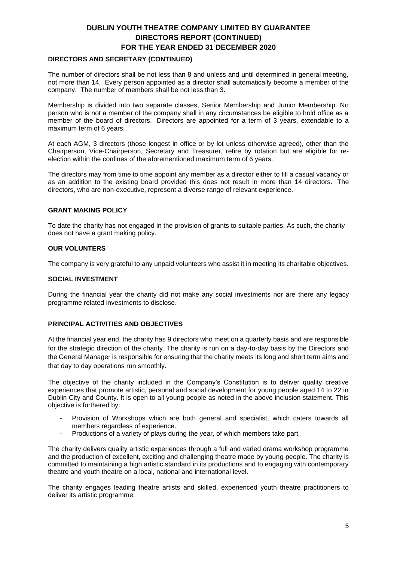#### **DIRECTORS AND SECRETARY (CONTINUED)**

The number of directors shall be not less than 8 and unless and until determined in general meeting, not more than 14. Every person appointed as a director shall automatically become a member of the company. The number of members shall be not less than 3.

Membership is divided into two separate classes, Senior Membership and Junior Membership. No person who is not a member of the company shall in any circumstances be eligible to hold office as a member of the board of directors. Directors are appointed for a term of 3 years, extendable to a maximum term of 6 years.

At each AGM, 3 directors (those longest in office or by lot unless otherwise agreed), other than the Chairperson, Vice-Chairperson, Secretary and Treasurer, retire by rotation but are eligible for reelection within the confines of the aforementioned maximum term of 6 years.

The directors may from time to time appoint any member as a director either to fill a casual vacancy or as an addition to the existing board provided this does not result in more than 14 directors. The directors, who are non-executive, represent a diverse range of relevant experience.

#### **GRANT MAKING POLICY**

To date the charity has not engaged in the provision of grants to suitable parties. As such, the charity does not have a grant making policy.

#### **OUR VOLUNTERS**

The company is very grateful to any unpaid volunteers who assist it in meeting its charitable objectives.

#### **SOCIAL INVESTMENT**

During the financial year the charity did not make any social investments nor are there any legacy programme related investments to disclose.

#### **PRINCIPAL ACTIVITIES AND OBJECTIVES**

At the financial year end, the charity has 9 directors who meet on a quarterly basis and are responsible for the strategic direction of the charity. The charity is run on a day-to-day basis by the Directors and the General Manager is responsible for ensuring that the charity meets its long and short term aims and that day to day operations run smoothly.

The objective of the charity included in the Company's Constitution is to deliver quality creative experiences that promote artistic, personal and social development for young people aged 14 to 22 in Dublin City and County. It is open to all young people as noted in the above inclusion statement. This objective is furthered by:

- Provision of Workshops which are both general and specialist, which caters towards all members regardless of experience.
- Productions of a variety of plays during the year, of which members take part.

The charity delivers quality artistic experiences through a full and varied drama workshop programme and the production of excellent, exciting and challenging theatre made by young people. The charity is committed to maintaining a high artistic standard in its productions and to engaging with contemporary theatre and youth theatre on a local, national and international level.

The charity engages leading theatre artists and skilled, experienced youth theatre practitioners to deliver its artistic programme.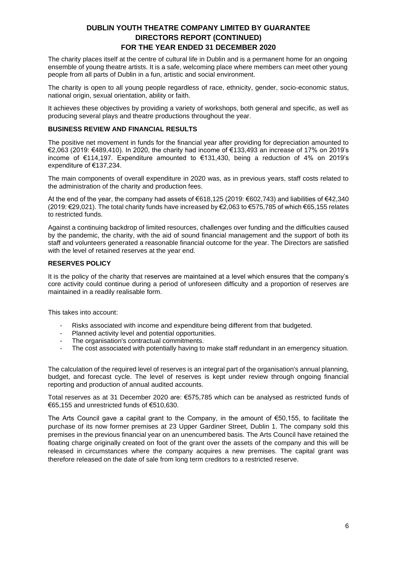The charity places itself at the centre of cultural life in Dublin and is a permanent home for an ongoing ensemble of young theatre artists. It is a safe, welcoming place where members can meet other young people from all parts of Dublin in a fun, artistic and social environment.

The charity is open to all young people regardless of race, ethnicity, gender, socio-economic status, national origin, sexual orientation, ability or faith.

It achieves these objectives by providing a variety of workshops, both general and specific, as well as producing several plays and theatre productions throughout the year.

#### **BUSINESS REVIEW AND FINANCIAL RESULTS**

The positive net movement in funds for the financial year after providing for depreciation amounted to €2,063 (2019: €489,410). In 2020, the charity had income of €133,493 an increase of 17% on 2019's income of €114,197. Expenditure amounted to €131,430, being a reduction of 4% on 2019's expenditure of €137,234.

The main components of overall expenditure in 2020 was, as in previous years, staff costs related to the administration of the charity and production fees.

At the end of the year, the company had assets of €618,125 (2019: €602,743) and liabilities of €42,340 (2019: €29,021). The total charity funds have increased by €2,063 to €575,785 of which €65,155 relates to restricted funds.

Against a continuing backdrop of limited resources, challenges over funding and the difficulties caused by the pandemic, the charity, with the aid of sound financial management and the support of both its staff and volunteers generated a reasonable financial outcome for the year. The Directors are satisfied with the level of retained reserves at the year end.

#### **RESERVES POLICY**

It is the policy of the charity that reserves are maintained at a level which ensures that the company's core activity could continue during a period of unforeseen difficulty and a proportion of reserves are maintained in a readily realisable form.

This takes into account:

- Risks associated with income and expenditure being different from that budgeted.
- Planned activity level and potential opportunities.
- The organisation's contractual commitments.
- The cost associated with potentially having to make staff redundant in an emergency situation.

The calculation of the required level of reserves is an integral part of the organisation's annual planning, budget, and forecast cycle. The level of reserves is kept under review through ongoing financial reporting and production of annual audited accounts.

Total reserves as at 31 December 2020 are: €575,785 which can be analysed as restricted funds of €65,155 and unrestricted funds of €510,630.

The Arts Council gave a capital grant to the Company, in the amount of €50,155, to facilitate the purchase of its now former premises at 23 Upper Gardiner Street, Dublin 1. The company sold this premises in the previous financial year on an unencumbered basis. The Arts Council have retained the floating charge originally created on foot of the grant over the assets of the company and this will be released in circumstances where the company acquires a new premises. The capital grant was therefore released on the date of sale from long term creditors to a restricted reserve.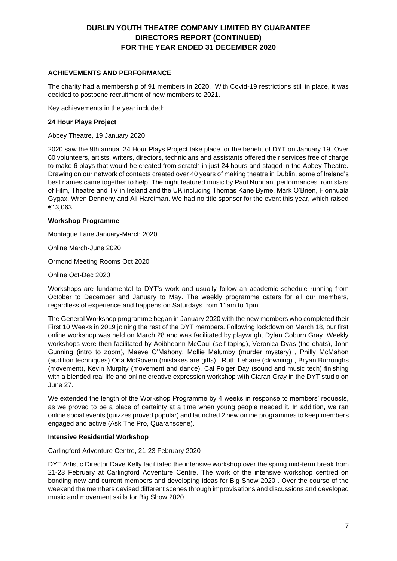### **ACHIEVEMENTS AND PERFORMANCE**

The charity had a membership of 91 members in 2020. With Covid-19 restrictions still in place, it was decided to postpone recruitment of new members to 2021.

Key achievements in the year included:

#### **24 Hour Plays Project**

Abbey Theatre, 19 January 2020

2020 saw the 9th annual 24 Hour Plays Project take place for the benefit of DYT on January 19. Over 60 volunteers, artists, writers, directors, technicians and assistants offered their services free of charge to make 6 plays that would be created from scratch in just 24 hours and staged in the Abbey Theatre. Drawing on our network of contacts created over 40 years of making theatre in Dublin, some of Ireland's best names came together to help. The night featured music by Paul Noonan, performances from stars of Film, Theatre and TV in Ireland and the UK including Thomas Kane Byrne, Mark O'Brien, Fionnuala Gygax, Wren Dennehy and Ali Hardiman. We had no title sponsor for the event this year, which raised €13,063.

#### **Workshop Programme**

Montague Lane January-March 2020

Online March-June 2020

Ormond Meeting Rooms Oct 2020

Online Oct-Dec 2020

Workshops are fundamental to DYT's work and usually follow an academic schedule running from October to December and January to May. The weekly programme caters for all our members, regardless of experience and happens on Saturdays from 11am to 1pm.

The General Workshop programme began in January 2020 with the new members who completed their First 10 Weeks in 2019 joining the rest of the DYT members. Following lockdown on March 18, our first online workshop was held on March 28 and was facilitated by playwright Dylan Coburn Gray. Weekly workshops were then facilitated by Aoibheann McCaul (self-taping), Veronica Dyas (the chats), John Gunning (intro to zoom), Maeve O'Mahony, Mollie Malumby (murder mystery) , Philly McMahon (audition techniques) Orla McGovern (mistakes are gifts) , Ruth Lehane (clowning) , Bryan Burroughs (movement), Kevin Murphy (movement and dance), Cal Folger Day (sound and music tech) finishing with a blended real life and online creative expression workshop with Ciaran Gray in the DYT studio on June 27.

We extended the length of the Workshop Programme by 4 weeks in response to members' requests, as we proved to be a place of certainty at a time when young people needed it. In addition, we ran online social events (quizzes proved popular) and launched 2 new online programmes to keep members engaged and active (Ask The Pro, Quaranscene).

#### **Intensive Residential Workshop**

Carlingford Adventure Centre, 21-23 February 2020

DYT Artistic Director Dave Kelly facilitated the intensive workshop over the spring mid-term break from 21-23 February at Carlingford Adventure Centre. The work of the intensive workshop centred on bonding new and current members and developing ideas for Big Show 2020 . Over the course of the weekend the members devised different scenes through improvisations and discussions and developed music and movement skills for Big Show 2020.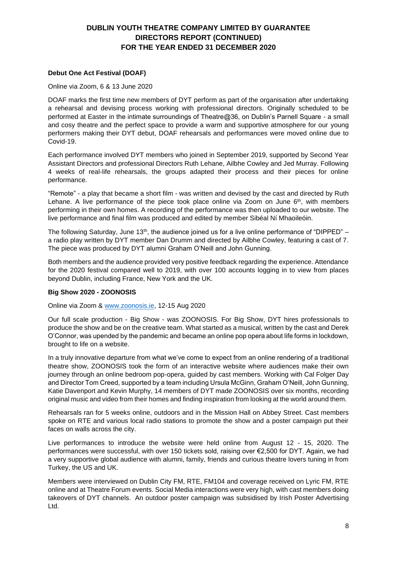### **Debut One Act Festival (DOAF)**

#### Online via Zoom, 6 & 13 June 2020

DOAF marks the first time new members of DYT perform as part of the organisation after undertaking a rehearsal and devising process working with professional directors. Originally scheduled to be performed at Easter in the intimate surroundings of Theatre@36, on Dublin's Parnell Square - a small and cosy theatre and the perfect space to provide a warm and supportive atmosphere for our young performers making their DYT debut, DOAF rehearsals and performances were moved online due to Covid-19.

Each performance involved DYT members who joined in September 2019, supported by Second Year Assistant Directors and professional Directors Ruth Lehane, Ailbhe Cowley and Jed Murray. Following 4 weeks of real-life rehearsals, the groups adapted their process and their pieces for online performance.

"Remote" - a play that became a short film - was written and devised by the cast and directed by Ruth Lehane. A live performance of the piece took place online via Zoom on June  $6<sup>th</sup>$ , with members performing in their own homes. A recording of the performance was then uploaded to our website. The live performance and final film was produced and edited by member Sibéal Ní Mhaoileóin.

The following Saturday, June 13<sup>th</sup>, the audience joined us for a live online performance of "DIPPED"  $$ a radio play written by DYT member Dan Drumm and directed by Ailbhe Cowley, featuring a cast of 7. The piece was produced by DYT alumni Graham O'Neill and John Gunning.

Both members and the audience provided very positive feedback regarding the experience. Attendance for the 2020 festival compared well to 2019, with over 100 accounts logging in to view from places beyond Dublin, including France, New York and the UK.

#### **Big Show 2020 - ZOONOSIS**

Online via Zoom & [www.zoonosis.ie,](http://www.zoonosis.ie/) 12-15 Aug 2020

Our full scale production - Big Show - was ZOONOSIS. For Big Show, DYT hires professionals to produce the show and be on the creative team. What started as a musical, written by the cast and Derek O'Connor, was upended by the pandemic and became an online pop opera about life forms in lockdown, brought to life on a website.

In a truly innovative departure from what we've come to expect from an online rendering of a traditional theatre show, ZOONOSIS took the form of an interactive website where audiences make their own journey through an online bedroom pop-opera, guided by cast members. Working with Cal Folger Day and Director Tom Creed, supported by a team including Ursula McGinn, Graham O'Neill, John Gunning, Katie Davenport and Kevin Murphy, 14 members of DYT made ZOONOSIS over six months, recording original music and video from their homes and finding inspiration from looking at the world around them.

Rehearsals ran for 5 weeks online, outdoors and in the Mission Hall on Abbey Street. Cast members spoke on RTE and various local radio stations to promote the show and a poster campaign put their faces on walls across the city.

Live performances to introduce the website were held online from August 12 - 15, 2020. The performances were successful, with over 150 tickets sold, raising over €2,500 for DYT. Again, we had a very supportive global audience with alumni, family, friends and curious theatre lovers tuning in from Turkey, the US and UK.

Members were interviewed on Dublin City FM, RTE, FM104 and coverage received on Lyric FM, RTE online and at Theatre Forum events. Social Media interactions were very high, with cast members doing takeovers of DYT channels. An outdoor poster campaign was subsidised by Irish Poster Advertising Ltd.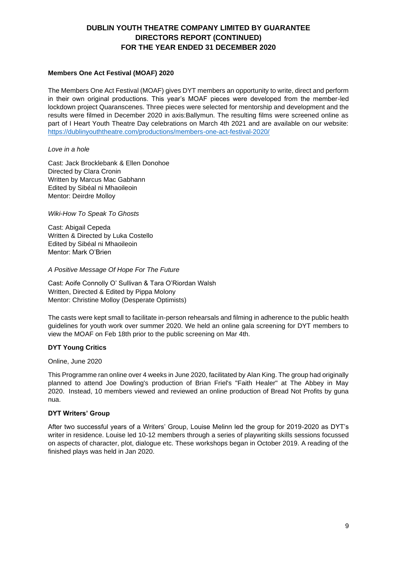#### **Members One Act Festival (MOAF) 2020**

The Members One Act Festival (MOAF) gives DYT members an opportunity to write, direct and perform in their own original productions. This year's MOAF pieces were developed from the member-led lockdown project Quaranscenes. Three pieces were selected for mentorship and development and the results were filmed in December 2020 in axis:Ballymun. The resulting films were screened online as part of I Heart Youth Theatre Day celebrations on March 4th 2021 and are available on our website: [https://dublinyouththeatre.com/productions/members-one-act-festival-2020/](https://scanner.topsec.com/?r=show&t=02d39dec69ae58a175f139c4a378495ab58f743b&u=https%3A%2F%2Fdublinyouththeatre.com%2Fproductions%2Fmembers-one-act-festival-2020%2F&d=1876)

#### *Love in a hole*

Cast: Jack Brocklebank & Ellen Donohoe Directed by Clara Cronin Written by Marcus Mac Gabhann Edited by Sibéal ni Mhaoileoin Mentor: Deirdre Molloy

### *Wiki-How To Speak To Ghosts*

Cast: Abigail Cepeda Written & Directed by Luka Costello Edited by Sibéal ni Mhaoileoin Mentor: Mark O'Brien

### *A Positive Message Of Hope For The Future*

Cast: Aoife Connolly O' Sullivan & Tara O'Riordan Walsh Written, Directed & Edited by Pippa Molony Mentor: Christine Molloy (Desperate Optimists)

The casts were kept small to facilitate in-person rehearsals and filming in adherence to the public health guidelines for youth work over summer 2020. We held an online gala screening for DYT members to view the MOAF on Feb 18th prior to the public screening on Mar 4th.

# **DYT Young Critics**

#### Online, June 2020

This Programme ran online over 4 weeks in June 2020, facilitated by Alan King. The group had originally planned to attend Joe Dowling's production of Brian Friel's "Faith Healer" at The Abbey in May 2020. Instead, 10 members viewed and reviewed an online production of Bread Not Profits by guna nua.

#### **DYT Writers' Group**

After two successful years of a Writers' Group, Louise Melinn led the group for 2019-2020 as DYT's writer in residence. Louise led 10-12 members through a series of playwriting skills sessions focussed on aspects of character, plot, dialogue etc. These workshops began in October 2019. A reading of the finished plays was held in Jan 2020.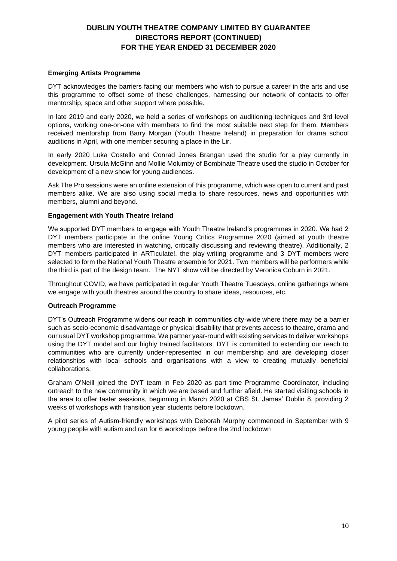#### **Emerging Artists Programme**

DYT acknowledges the barriers facing our members who wish to pursue a career in the arts and use this programme to offset some of these challenges, harnessing our network of contacts to offer mentorship, space and other support where possible.

In late 2019 and early 2020, we held a series of workshops on auditioning techniques and 3rd level options, working one-on-one with members to find the most suitable next step for them. Members received mentorship from Barry Morgan (Youth Theatre Ireland) in preparation for drama school auditions in April, with one member securing a place in the Lir.

In early 2020 Luka Costello and Conrad Jones Brangan used the studio for a play currently in development. Ursula McGinn and Mollie Molumby of Bombinate Theatre used the studio in October for development of a new show for young audiences.

Ask The Pro sessions were an online extension of this programme, which was open to current and past members alike. We are also using social media to share resources, news and opportunities with members, alumni and beyond.

#### **Engagement with Youth Theatre Ireland**

We supported DYT members to engage with Youth Theatre Ireland's programmes in 2020. We had 2 DYT members participate in the online Young Critics Programme 2020 (aimed at youth theatre members who are interested in watching, critically discussing and reviewing theatre). Additionally, 2 DYT members participated in ARTiculate!, the play-writing programme and 3 DYT members were selected to form the National Youth Theatre ensemble for 2021. Two members will be performers while the third is part of the design team. The NYT show will be directed by Veronica Coburn in 2021.

Throughout COVID, we have participated in regular Youth Theatre Tuesdays, online gatherings where we engage with youth theatres around the country to share ideas, resources, etc.

#### **Outreach Programme**

DYT's Outreach Programme widens our reach in communities city-wide where there may be a barrier such as socio-economic disadvantage or physical disability that prevents access to theatre, drama and our usual DYT workshop programme. We partner year-round with existing services to deliver workshops using the DYT model and our highly trained facilitators. DYT is committed to extending our reach to communities who are currently under-represented in our membership and are developing closer relationships with local schools and organisations with a view to creating mutually beneficial collaborations.

Graham O'Neill joined the DYT team in Feb 2020 as part time Programme Coordinator, including outreach to the new community in which we are based and further afield. He started visiting schools in the area to offer taster sessions, beginning in March 2020 at CBS St. James' Dublin 8, providing 2 weeks of workshops with transition year students before lockdown.

A pilot series of Autism-friendly workshops with Deborah Murphy commenced in September with 9 young people with autism and ran for 6 workshops before the 2nd lockdown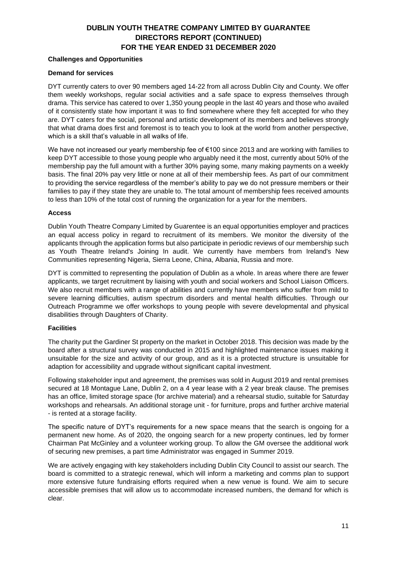#### **Challenges and Opportunities**

#### **Demand for services**

DYT currently caters to over 90 members aged 14-22 from all across Dublin City and County. We offer them weekly workshops, regular social activities and a safe space to express themselves through drama. This service has catered to over 1,350 young people in the last 40 years and those who availed of it consistently state how important it was to find somewhere where they felt accepted for who they are. DYT caters for the social, personal and artistic development of its members and believes strongly that what drama does first and foremost is to teach you to look at the world from another perspective, which is a skill that's valuable in all walks of life.

We have not increased our yearly membership fee of €100 since 2013 and are working with families to keep DYT accessible to those young people who arguably need it the most, currently about 50% of the membership pay the full amount with a further 30% paying some, many making payments on a weekly basis. The final 20% pay very little or none at all of their membership fees. As part of our commitment to providing the service regardless of the member's ability to pay we do not pressure members or their families to pay if they state they are unable to. The total amount of membership fees received amounts to less than 10% of the total cost of running the organization for a year for the members.

#### **Access**

Dublin Youth Theatre Company Limited by Guarentee is an equal opportunities employer and practices an equal access policy in regard to recruitment of its members. We monitor the diversity of the applicants through the application forms but also participate in periodic reviews of our membership such as Youth Theatre Ireland's Joining In audit. We currently have members from Ireland's New Communities representing Nigeria, Sierra Leone, China, Albania, Russia and more.

DYT is committed to representing the population of Dublin as a whole. In areas where there are fewer applicants, we target recruitment by liaising with youth and social workers and School Liaison Officers. We also recruit members with a range of abilities and currently have members who suffer from mild to severe learning difficulties, autism spectrum disorders and mental health difficulties. Through our Outreach Programme we offer workshops to young people with severe developmental and physical disabilities through Daughters of Charity.

#### **Facilities**

The charity put the Gardiner St property on the market in October 2018. This decision was made by the board after a structural survey was conducted in 2015 and highlighted maintenance issues making it unsuitable for the size and activity of our group, and as it is a protected structure is unsuitable for adaption for accessibility and upgrade without significant capital investment.

Following stakeholder input and agreement, the premises was sold in August 2019 and rental premises secured at 18 Montague Lane, Dublin 2, on a 4 year lease with a 2 year break clause. The premises has an office, limited storage space (for archive material) and a rehearsal studio, suitable for Saturday workshops and rehearsals. An additional storage unit - for furniture, props and further archive material - is rented at a storage facility.

The specific nature of DYT's requirements for a new space means that the search is ongoing for a permanent new home. As of 2020, the ongoing search for a new property continues, led by former Chairman Pat McGinley and a volunteer working group. To allow the GM oversee the additional work of securing new premises, a part time Administrator was engaged in Summer 2019.

We are actively engaging with key stakeholders including Dublin City Council to assist our search. The board is committed to a strategic renewal, which will inform a marketing and comms plan to support more extensive future fundraising efforts required when a new venue is found. We aim to secure accessible premises that will allow us to accommodate increased numbers, the demand for which is clear.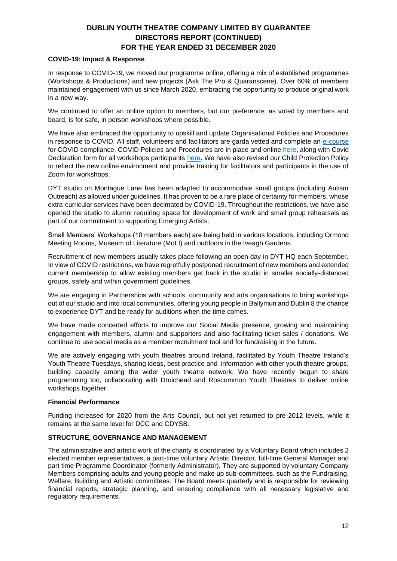#### **COVID-19: Impact & Response**

In response to COVID-19, we moved our programme online, offering a mix of established programmes (Workshops & Productions) and new projects (Ask The Pro & Quaranscene). Over 60% of members maintained engagement with us since March 2020, embracing the opportunity to produce original work in a new way.

We continued to offer an online option to members, but our preference, as voted by members and board, is for safe, in person workshops where possible.

We have also embraced the opportunity to upskill and update Organisational Policies and Procedures in response to COVID. All staff, volunteers and facilitators are garda vetted and complete an [e-course](https://learning.youth.ie/courses/covid-19-induction-session-for-youth-sector/)  for COVID compliance. COVID Policies and Procedures are in place and online [here,](https://dublinyouththeatre.com/covid-policy-for-dyt-workshops-activities/) along with Covid Declaration form for all workshops participants [here.](https://dublinyouththeatre.com/covid-questionnaire/) We have also revised our Child Protection Policy to reflect the new online environment and provide training for facilitators and participants in the use of Zoom for workshops.

DYT studio on Montague Lane has been adapted to accommodate small groups (including Autism Outreach) as allowed under guidelines. It has proven to be a rare place of certainty for members, whose extra-curricular services have been decimated by COVID-19. Throughout the restrictions, we have also opened the studio to alumni requiring space for development of work and small group rehearsals as part of our commitment to supporting Emerging Artists.

Small Members' Workshops (10 members each) are being held in various locations, including Ormond Meeting Rooms, Museum of Literature (MoLI) and outdoors in the Iveagh Gardens.

Recruitment of new members usually takes place following an open day in DYT HQ each September. In view of COVID restrictions, we have regretfully postponed recruitment of new members and extended current membership to allow existing members get back in the studio in smaller socially-distanced groups, safely and within government guidelines.

We are engaging in Partnerships with schools, community and arts organisations to bring workshops out of our studio and into local communities, offering young people in Ballymun and Dublin 8 the chance to experience DYT and be ready for auditions when the time comes.

We have made concerted efforts to improve our Social Media presence, growing and maintaining engagement with members, alumni and supporters and also facilitating ticket sales / donations. We continue to use social media as a member recruitment tool and for fundraising in the future.

We are actively engaging with youth theatres around Ireland, facilitated by Youth Theatre Ireland's Youth Theatre Tuesdays, sharing ideas, best practice and information with other youth theatre groups, building capacity among the wider youth theatre network. We have recently begun to share programming too, collaborating with Droichead and Roscommon Youth Theatres to deliver online workshops together.

#### **Financial Performance**

Funding increased for 2020 from the Arts Council, but not yet returned to pre-2012 levels, while it remains at the same level for DCC and CDYSB.

#### **STRUCTURE, GOVERNANCE AND MANAGEMENT**

The administrative and artistic work of the charity is coordinated by a Voluntary Board which includes 2 elected member representatives, a part-time voluntary Artistic Director, full-time General Manager and part time Programme Coordinator (formerly Administrator). They are supported by voluntary Company Members comprising adults and young people and make up sub-committees, such as the Fundraising, Welfare, Building and Artistic committees. The Board meets quarterly and is responsible for reviewing financial reports, strategic planning, and ensuring compliance with all necessary legislative and regulatory requirements.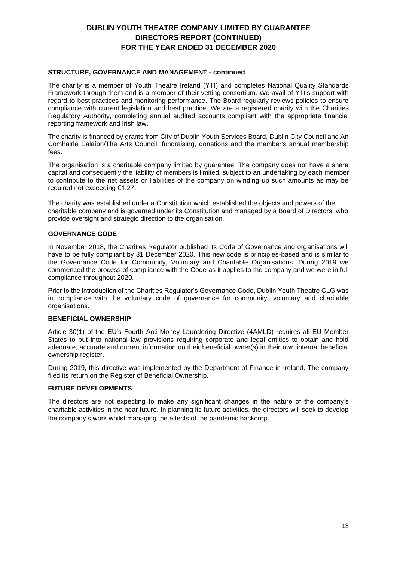#### **STRUCTURE, GOVERNANCE AND MANAGEMENT - continued**

The charity is a member of Youth Theatre Ireland (YTI) and completes National Quality Standards Framework through them and is a member of their vetting consortium. We avail of YTI's support with regard to best practices and monitoring performance. The Board regularly reviews policies to ensure compliance with current legislation and best practice. We are a registered charity with the Charities Regulatory Authority, completing annual audited accounts compliant with the appropriate financial reporting framework and Irish law.

The charity is financed by grants from City of Dublin Youth Services Board, Dublin City Council and An Comhairle Ealaíon/The Arts Council, fundraising, donations and the member's annual membership fees.

The organisation is a charitable company limited by guarantee. The company does not have a share capital and consequently the liability of members is limited, subject to an undertaking by each member to contribute to the net assets or liabilities of the company on winding up such amounts as may be required not exceeding €1.27.

The charity was established under a Constitution which established the objects and powers of the charitable company and is governed under its Constitution and managed by a Board of Directors, who provide oversight and strategic direction to the organisation.

#### **GOVERNANCE CODE**

In November 2018, the Charities Regulator published its Code of Governance and organisations will have to be fully compliant by 31 December 2020. This new code is principles-based and is similar to the Governance Code for Community, Voluntary and Charitable Organisations. During 2019 we commenced the process of compliance with the Code as it applies to the company and we were in full compliance throughout 2020.

Prior to the introduction of the Charities Regulator's Governance Code, Dublin Youth Theatre CLG was in compliance with the voluntary code of governance for community, voluntary and charitable organisations.

#### **BENEFICIAL OWNERSHIP**

Article 30(1) of the EU's Fourth Anti-Money Laundering Directive (4AMLD) requires all EU Member States to put into national law provisions requiring corporate and legal entities to obtain and hold adequate, accurate and current information on their beneficial owner(s) in their own internal beneficial ownership register.

During 2019, this directive was implemented by the Department of Finance in Ireland. The company filed its return on the Register of Beneficial Ownership.

#### **FUTURE DEVELOPMENTS**

The directors are not expecting to make any significant changes in the nature of the company's charitable activities in the near future. In planning its future activities, the directors will seek to develop the company's work whilst managing the effects of the pandemic backdrop.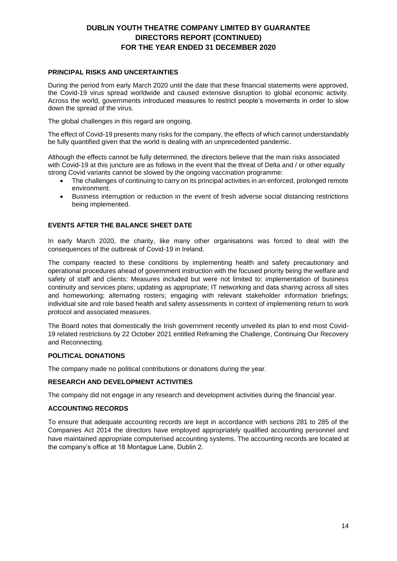# **PRINCIPAL RISKS AND UNCERTAINTIES**

During the period from early March 2020 until the date that these financial statements were approved, the Covid-19 virus spread worldwide and caused extensive disruption to global economic activity. Across the world, governments introduced measures to restrict people's movements in order to slow down the spread of the virus.

The global challenges in this regard are ongoing.

The effect of Covid-19 presents many risks for the company, the effects of which cannot understandably be fully quantified given that the world is dealing with an unprecedented pandemic.

Although the effects cannot be fully determined, the directors believe that the main risks associated with Covid-19 at this juncture are as follows in the event that the threat of Delta and / or other equally strong Covid variants cannot be slowed by the ongoing vaccination programme:

- The challenges of continuing to carry on its principal activities in an enforced, prolonged remote environment.
- Business interruption or reduction in the event of fresh adverse social distancing restrictions being implemented.

# **EVENTS AFTER THE BALANCE SHEET DATE**

In early March 2020, the charity, like many other organisations was forced to deal with the consequences of the outbreak of Covid-19 in Ireland.

The company reacted to these conditions by implementing health and safety precautionary and operational procedures ahead of government instruction with the focused priority being the welfare and safety of staff and clients: Measures included but were not limited to: implementation of business continuity and services plans; updating as appropriate; IT networking and data sharing across all sites and homeworking; alternating rosters; engaging with relevant stakeholder information briefings; individual site and role based health and safety assessments in context of implementing return to work protocol and associated measures.

The Board notes that domestically the Irish government recently unveiled its plan to end most Covid-19 related restrictions by 22 October 2021 entitled Reframing the Challenge, Continuing Our Recovery and Reconnecting.

# **POLITICAL DONATIONS**

The company made no political contributions or donations during the year.

#### **RESEARCH AND DEVELOPMENT ACTIVITIES**

The company did not engage in any research and development activities during the financial year.

#### **ACCOUNTING RECORDS**

To ensure that adequate accounting records are kept in accordance with sections 281 to 285 of the Companies Act 2014 the directors have employed appropriately qualified accounting personnel and have maintained appropriate computerised accounting systems. The accounting records are located at the company's office at 18 Montague Lane, Dublin 2.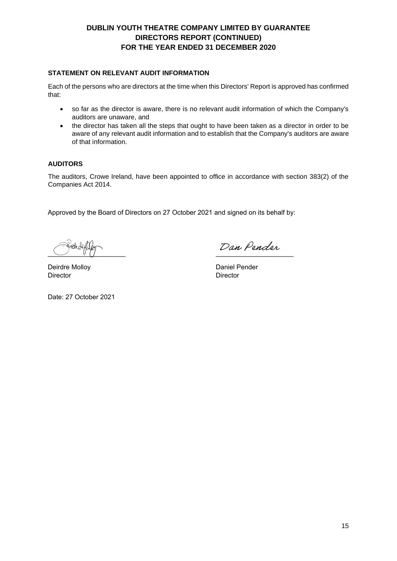### **STATEMENT ON RELEVANT AUDIT INFORMATION**

Each of the persons who are directors at the time when this Directors' Report is approved has confirmed that:

- so far as the director is aware, there is no relevant audit information of which the Company's auditors are unaware, and
- the director has taken all the steps that ought to have been taken as a director in order to be aware of any relevant audit information and to establish that the Company's auditors are aware of that information.

#### **AUDITORS**

The auditors, Crowe Ireland, have been appointed to office in accordance with section 383(2) of the Companies Act 2014.

Approved by the Board of Directors on 27 October 2021 and signed on its behalf by:

 $\cup$   $\cup$   $\cup$ 

Dan Pender  $\overline{\phantom{a}}$  , where the contract of the contract of the contract of the contract of the contract of the contract of the contract of the contract of the contract of the contract of the contract of the contract of the contr

Daniel Pender **Director** 

Deirdre Molloy **Director** 

Date: 27 October 2021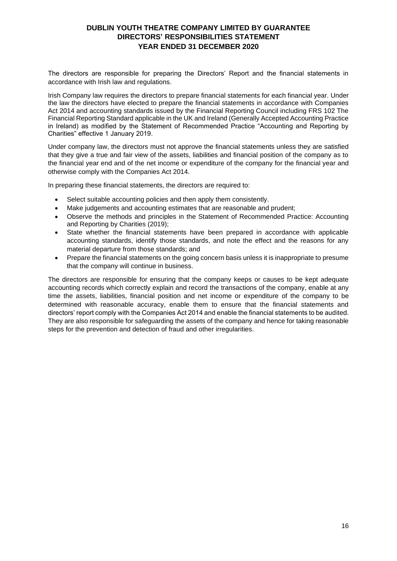# **DUBLIN YOUTH THEATRE COMPANY LIMITED BY GUARANTEE DIRECTORS' RESPONSIBILITIES STATEMENT YEAR ENDED 31 DECEMBER 2020**

<span id="page-15-0"></span>The directors are responsible for preparing the Directors' Report and the financial statements in accordance with Irish law and regulations.

Irish Company law requires the directors to prepare financial statements for each financial year. Under the law the directors have elected to prepare the financial statements in accordance with Companies Act 2014 and accounting standards issued by the Financial Reporting Council including FRS 102 The Financial Reporting Standard applicable in the UK and Ireland (Generally Accepted Accounting Practice in Ireland) as modified by the Statement of Recommended Practice "Accounting and Reporting by Charities" effective 1 January 2019.

Under company law, the directors must not approve the financial statements unless they are satisfied that they give a true and fair view of the assets, liabilities and financial position of the company as to the financial year end and of the net income or expenditure of the company for the financial year and otherwise comply with the Companies Act 2014.

In preparing these financial statements, the directors are required to:

- Select suitable accounting policies and then apply them consistently.
- Make judgements and accounting estimates that are reasonable and prudent;
- Observe the methods and principles in the Statement of Recommended Practice: Accounting and Reporting by Charities (2019);
- State whether the financial statements have been prepared in accordance with applicable accounting standards, identify those standards, and note the effect and the reasons for any material departure from those standards; and
- Prepare the financial statements on the going concern basis unless it is inappropriate to presume that the company will continue in business.

The directors are responsible for ensuring that the company keeps or causes to be kept adequate accounting records which correctly explain and record the transactions of the company, enable at any time the assets, liabilities, financial position and net income or expenditure of the company to be determined with reasonable accuracy, enable them to ensure that the financial statements and directors' report comply with the Companies Act 2014 and enable the financial statements to be audited. They are also responsible for safeguarding the assets of the company and hence for taking reasonable steps for the prevention and detection of fraud and other irregularities.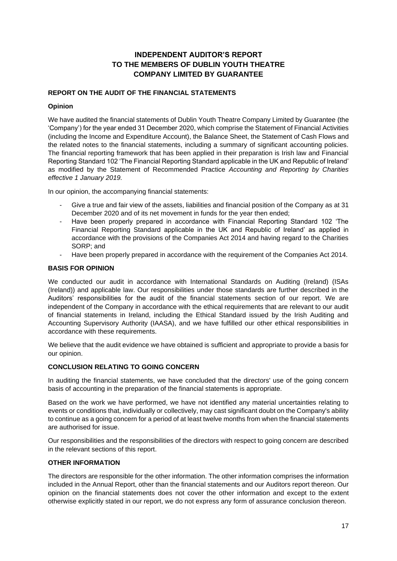# **INDEPENDENT AUDITOR'S REPORT TO THE MEMBERS OF DUBLIN YOUTH THEATRE COMPANY LIMITED BY GUARANTEE**

# <span id="page-16-0"></span>**REPORT ON THE AUDIT OF THE FINANCIAL STATEMENTS**

### **Opinion**

We have audited the financial statements of Dublin Youth Theatre Company Limited by Guarantee (the 'Company') for the year ended 31 December 2020, which comprise the Statement of Financial Activities (including the Income and Expenditure Account), the Balance Sheet, the Statement of Cash Flows and the related notes to the financial statements, including a summary of significant accounting policies. The financial reporting framework that has been applied in their preparation is Irish law and Financial Reporting Standard 102 'The Financial Reporting Standard applicable in the UK and Republic of Ireland' as modified by the Statement of Recommended Practice *Accounting and Reporting by Charities effective 1 January 2019.*

In our opinion, the accompanying financial statements:

- Give a true and fair view of the assets, liabilities and financial position of the Company as at 31 December 2020 and of its net movement in funds for the year then ended;
- Have been properly prepared in accordance with Financial Reporting Standard 102 'The Financial Reporting Standard applicable in the UK and Republic of Ireland' as applied in accordance with the provisions of the Companies Act 2014 and having regard to the Charities SORP; and
- Have been properly prepared in accordance with the requirement of the Companies Act 2014.

#### **BASIS FOR OPINION**

We conducted our audit in accordance with International Standards on Auditing (Ireland) (ISAs (Ireland)) and applicable law. Our responsibilities under those standards are further described in the Auditors' responsibilities for the audit of the financial statements section of our report. We are independent of the Company in accordance with the ethical requirements that are relevant to our audit of financial statements in Ireland, including the Ethical Standard issued by the Irish Auditing and Accounting Supervisory Authority (IAASA), and we have fulfilled our other ethical responsibilities in accordance with these requirements.

We believe that the audit evidence we have obtained is sufficient and appropriate to provide a basis for our opinion.

#### **CONCLUSION RELATING TO GOING CONCERN**

In auditing the financial statements, we have concluded that the directors' use of the going concern basis of accounting in the preparation of the financial statements is appropriate.

Based on the work we have performed, we have not identified any material uncertainties relating to events or conditions that, individually or collectively, may cast significant doubt on the Company's ability to continue as a going concern for a period of at least twelve months from when the financial statements are authorised for issue.

Our responsibilities and the responsibilities of the directors with respect to going concern are described in the relevant sections of this report.

#### **OTHER INFORMATION**

The directors are responsible for the other information. The other information comprises the information included in the Annual Report, other than the financial statements and our Auditors report thereon. Our opinion on the financial statements does not cover the other information and except to the extent otherwise explicitly stated in our report, we do not express any form of assurance conclusion thereon.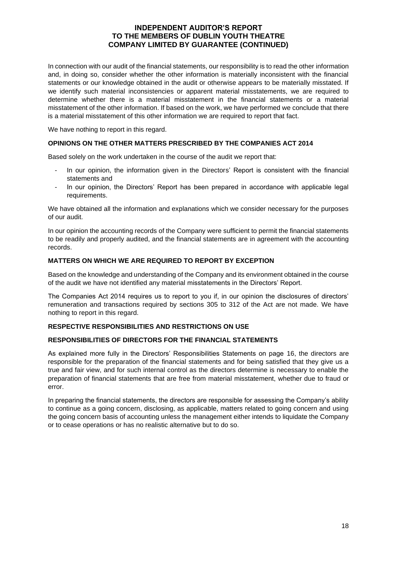### **INDEPENDENT AUDITOR'S REPORT TO THE MEMBERS OF DUBLIN YOUTH THEATRE COMPANY LIMITED BY GUARANTEE (CONTINUED)**

In connection with our audit of the financial statements, our responsibility is to read the other information and, in doing so, consider whether the other information is materially inconsistent with the financial statements or our knowledge obtained in the audit or otherwise appears to be materially misstated. If we identify such material inconsistencies or apparent material misstatements, we are required to determine whether there is a material misstatement in the financial statements or a material misstatement of the other information. If based on the work, we have performed we conclude that there is a material misstatement of this other information we are required to report that fact.

We have nothing to report in this regard.

#### **OPINIONS ON THE OTHER MATTERS PRESCRIBED BY THE COMPANIES ACT 2014**

Based solely on the work undertaken in the course of the audit we report that:

- In our opinion, the information given in the Directors' Report is consistent with the financial statements and
- In our opinion, the Directors' Report has been prepared in accordance with applicable legal requirements.

We have obtained all the information and explanations which we consider necessary for the purposes of our audit.

In our opinion the accounting records of the Company were sufficient to permit the financial statements to be readily and properly audited, and the financial statements are in agreement with the accounting records.

### **MATTERS ON WHICH WE ARE REQUIRED TO REPORT BY EXCEPTION**

Based on the knowledge and understanding of the Company and its environment obtained in the course of the audit we have not identified any material misstatements in the Directors' Report.

The Companies Act 2014 requires us to report to you if, in our opinion the disclosures of directors' remuneration and transactions required by sections 305 to 312 of the Act are not made. We have nothing to report in this regard.

#### **RESPECTIVE RESPONSIBILITIES AND RESTRICTIONS ON USE**

#### **RESPONSIBILITIES OF DIRECTORS FOR THE FINANCIAL STATEMENTS**

As explained more fully in the Directors' Responsibilities Statements on page 16, the directors are responsible for the preparation of the financial statements and for being satisfied that they give us a true and fair view, and for such internal control as the directors determine is necessary to enable the preparation of financial statements that are free from material misstatement, whether due to fraud or error.

In preparing the financial statements, the directors are responsible for assessing the Company's ability to continue as a going concern, disclosing, as applicable, matters related to going concern and using the going concern basis of accounting unless the management either intends to liquidate the Company or to cease operations or has no realistic alternative but to do so.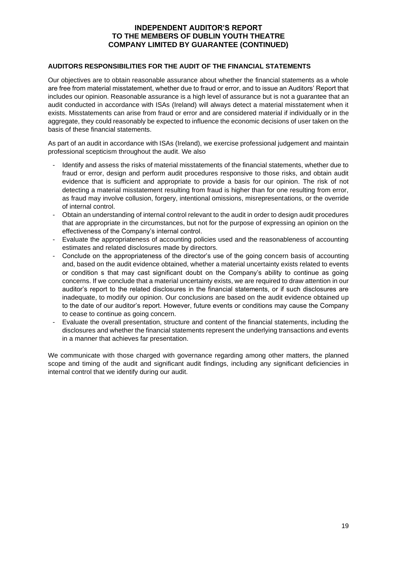### **INDEPENDENT AUDITOR'S REPORT TO THE MEMBERS OF DUBLIN YOUTH THEATRE COMPANY LIMITED BY GUARANTEE (CONTINUED)**

#### **AUDITORS RESPONSIBILITIES FOR THE AUDIT OF THE FINANCIAL STATEMENTS**

Our objectives are to obtain reasonable assurance about whether the financial statements as a whole are free from material misstatement, whether due to fraud or error, and to issue an Auditors' Report that includes our opinion. Reasonable assurance is a high level of assurance but is not a guarantee that an audit conducted in accordance with ISAs (Ireland) will always detect a material misstatement when it exists. Misstatements can arise from fraud or error and are considered material if individually or in the aggregate, they could reasonably be expected to influence the economic decisions of user taken on the basis of these financial statements.

As part of an audit in accordance with ISAs (Ireland), we exercise professional judgement and maintain professional scepticism throughout the audit. We also

- Identify and assess the risks of material misstatements of the financial statements, whether due to fraud or error, design and perform audit procedures responsive to those risks, and obtain audit evidence that is sufficient and appropriate to provide a basis for our opinion. The risk of not detecting a material misstatement resulting from fraud is higher than for one resulting from error, as fraud may involve collusion, forgery, intentional omissions, misrepresentations, or the override of internal control.
- Obtain an understanding of internal control relevant to the audit in order to design audit procedures that are appropriate in the circumstances, but not for the purpose of expressing an opinion on the effectiveness of the Company's internal control.
- Evaluate the appropriateness of accounting policies used and the reasonableness of accounting estimates and related disclosures made by directors.
- Conclude on the appropriateness of the director's use of the going concern basis of accounting and, based on the audit evidence obtained, whether a material uncertainty exists related to events or condition s that may cast significant doubt on the Company's ability to continue as going concerns. If we conclude that a material uncertainty exists, we are required to draw attention in our auditor's report to the related disclosures in the financial statements, or if such disclosures are inadequate, to modify our opinion. Our conclusions are based on the audit evidence obtained up to the date of our auditor's report. However, future events or conditions may cause the Company to cease to continue as going concern.
- Evaluate the overall presentation, structure and content of the financial statements, including the disclosures and whether the financial statements represent the underlying transactions and events in a manner that achieves far presentation.

We communicate with those charged with governance regarding among other matters, the planned scope and timing of the audit and significant audit findings, including any significant deficiencies in internal control that we identify during our audit.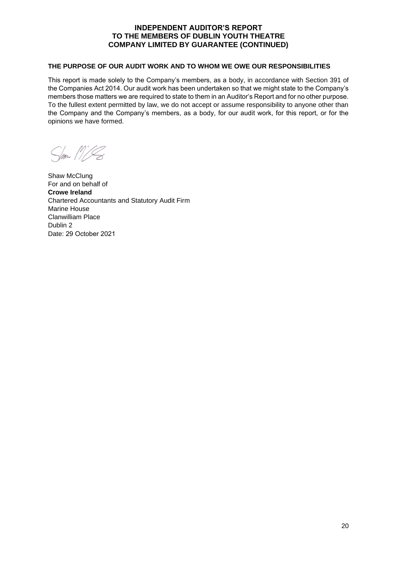# **INDEPENDENT AUDITOR'S REPORT TO THE MEMBERS OF DUBLIN YOUTH THEATRE COMPANY LIMITED BY GUARANTEE (CONTINUED)**

### **THE PURPOSE OF OUR AUDIT WORK AND TO WHOM WE OWE OUR RESPONSIBILITIES**

This report is made solely to the Company's members, as a body, in accordance with Section 391 of the Companies Act 2014. Our audit work has been undertaken so that we might state to the Company's members those matters we are required to state to them in an Auditor's Report and for no other purpose. To the fullest extent permitted by law, we do not accept or assume responsibility to anyone other than the Company and the Company's members, as a body, for our audit work, for this report, or for the opinions we have formed.

 $\frac{1}{\sqrt{2\pi}}\int_0^\infty\int_0^\infty\int_0^\infty\int_0^\infty\int_0^\infty\int_0^\infty\int_0^\infty\int_0^\infty\int_0^\infty\int_0^\infty\int_0^\infty\int_0^\infty\int_0^\infty\int_0^\infty\int_0^\infty\int_0^\infty\int_0^\infty\int_0^\infty\int_0^\infty\int_0^\infty\int_0^\infty\int_0^\infty\int_0^\infty\int_0^\infty\int_0^\infty\int_0^\infty\int_0^\infty\int_0^\infty\int_0^\infty\int_0^\$ 

Shaw McClung For and on behalf of **Crowe Ireland**  Chartered Accountants and Statutory Audit Firm Marine House Clanwilliam Place Dublin 2 Date: 29 October 2021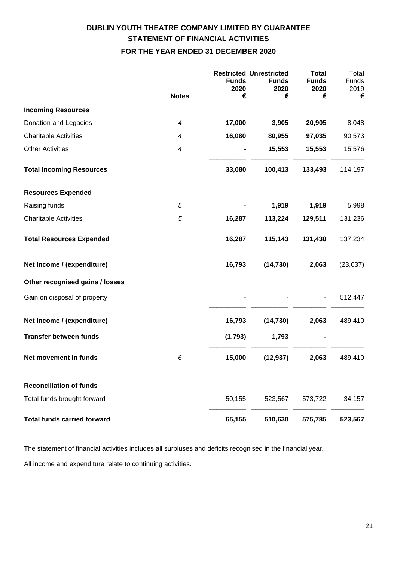# **DUBLIN YOUTH THEATRE COMPANY LIMITED BY GUARANTEE STATEMENT OF FINANCIAL ACTIVITIES FOR THE YEAR ENDED 31 DECEMBER 2020**

<span id="page-20-0"></span>

|                                    | <b>Notes</b>             | <b>Restricted Unrestricted</b><br><b>Funds</b><br>2020<br>€ | <b>Funds</b><br>2020<br>€ | <b>Total</b><br><b>Funds</b><br>2020<br>€ | Total<br>Funds<br>2019<br>€ |
|------------------------------------|--------------------------|-------------------------------------------------------------|---------------------------|-------------------------------------------|-----------------------------|
| <b>Incoming Resources</b>          |                          |                                                             |                           |                                           |                             |
| Donation and Legacies              | $\overline{\mathcal{A}}$ | 17,000                                                      | 3,905                     | 20,905                                    | 8,048                       |
| <b>Charitable Activities</b>       | $\overline{\mathcal{A}}$ | 16,080                                                      | 80,955                    | 97,035                                    | 90,573                      |
| <b>Other Activities</b>            | $\boldsymbol{4}$         |                                                             | 15,553                    | 15,553                                    | 15,576                      |
|                                    |                          |                                                             |                           |                                           |                             |
| <b>Total Incoming Resources</b>    |                          | 33,080                                                      | 100,413                   | 133,493                                   | 114,197                     |
| <b>Resources Expended</b>          |                          |                                                             |                           |                                           |                             |
| Raising funds                      | $\sqrt{5}$               |                                                             | 1,919                     | 1,919                                     | 5,998                       |
| <b>Charitable Activities</b>       | $\sqrt{5}$               | 16,287                                                      | 113,224                   | 129,511                                   | 131,236                     |
| <b>Total Resources Expended</b>    |                          | 16,287                                                      | 115,143                   | 131,430                                   | 137,234                     |
| Net income / (expenditure)         |                          | 16,793                                                      | (14, 730)                 | 2,063                                     | (23, 037)                   |
| Other recognised gains / losses    |                          |                                                             |                           |                                           |                             |
| Gain on disposal of property       |                          |                                                             |                           |                                           | 512,447                     |
| Net income / (expenditure)         |                          | 16,793                                                      | (14, 730)                 | 2,063                                     | 489,410                     |
| <b>Transfer between funds</b>      |                          | (1, 793)                                                    | 1,793                     |                                           |                             |
| Net movement in funds              | 6                        | 15,000                                                      | (12, 937)                 | 2,063                                     | 489,410                     |
| <b>Reconciliation of funds</b>     |                          |                                                             |                           |                                           |                             |
| Total funds brought forward        |                          | 50,155                                                      | 523,567                   | 573,722                                   | 34,157                      |
| <b>Total funds carried forward</b> |                          | 65,155                                                      | 510,630                   | 575,785                                   | 523,567                     |
|                                    |                          |                                                             |                           |                                           |                             |

The statement of financial activities includes all surpluses and deficits recognised in the financial year.

All income and expenditure relate to continuing activities.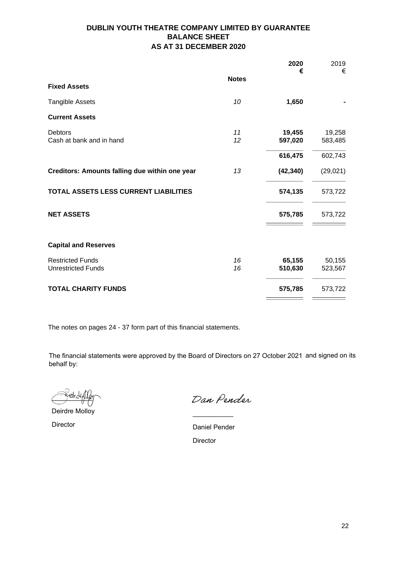# **DUBLIN YOUTH THEATRE COMPANY LIMITED BY GUARANTEE BALANCE SHEET AS AT 31 DECEMBER 2020**

<span id="page-21-0"></span>

|                                                      |              | 2020<br>€         | 2019<br>€         |
|------------------------------------------------------|--------------|-------------------|-------------------|
| <b>Fixed Assets</b>                                  | <b>Notes</b> |                   |                   |
| <b>Tangible Assets</b>                               | 10           | 1,650             |                   |
| <b>Current Assets</b>                                |              |                   |                   |
| <b>Debtors</b><br>Cash at bank and in hand           | 11<br>12     | 19,455<br>597,020 | 19,258<br>583,485 |
|                                                      |              | 616,475           | 602,743           |
| Creditors: Amounts falling due within one year       | 13           | (42, 340)         | (29, 021)         |
| TOTAL ASSETS LESS CURRENT LIABILITIES                |              | 574,135           | 573,722           |
| <b>NET ASSETS</b>                                    |              | 575,785           | 573,722           |
| <b>Capital and Reserves</b>                          |              |                   |                   |
| <b>Restricted Funds</b><br><b>Unrestricted Funds</b> | 16<br>16     | 65,155<br>510,630 | 50,155<br>523,567 |
| <b>TOTAL CHARITY FUNDS</b>                           |              | 575,785           | 573,722           |

The notes on pages 24 - 37 form part of this financial statements.

The financial statements were approved by the Board of Directors on 27 October 2021 and signed on its behalf by:

 $\sim$  marchines

Deirdre Molloy

Director

Dan Pender

Daniel Pender Director

 $\overline{\phantom{a}}$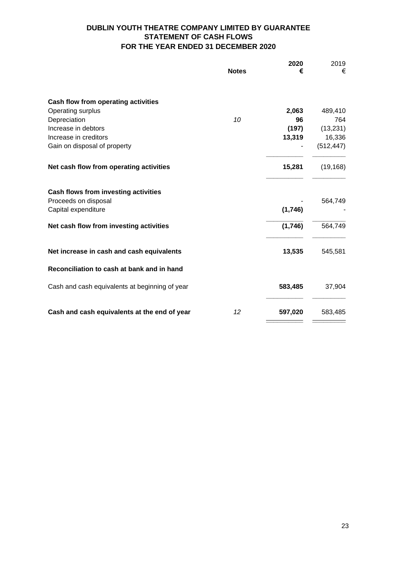# **DUBLIN YOUTH THEATRE COMPANY LIMITED BY GUARANTEE STATEMENT OF CASH FLOWS FOR THE YEAR ENDED 31 DECEMBER 2020**

<span id="page-22-0"></span>

|                                                | <b>Notes</b> | 2020<br>€ | 2019<br>€  |
|------------------------------------------------|--------------|-----------|------------|
| Cash flow from operating activities            |              |           |            |
| Operating surplus                              |              | 2,063     | 489,410    |
| Depreciation                                   | 10           | 96        | 764        |
| Increase in debtors                            |              | (197)     | (13, 231)  |
| Increase in creditors                          |              | 13,319    | 16,336     |
| Gain on disposal of property                   |              |           | (512, 447) |
| Net cash flow from operating activities        |              | 15,281    | (19, 168)  |
| Cash flows from investing activities           |              |           |            |
| Proceeds on disposal<br>Capital expenditure    |              | (1,746)   | 564,749    |
| Net cash flow from investing activities        |              | (1,746)   | 564,749    |
| Net increase in cash and cash equivalents      |              | 13,535    | 545,581    |
| Reconciliation to cash at bank and in hand     |              |           |            |
| Cash and cash equivalents at beginning of year |              | 583,485   | 37,904     |
| Cash and cash equivalents at the end of year   | 12           | 597,020   | 583,485    |
|                                                |              |           |            |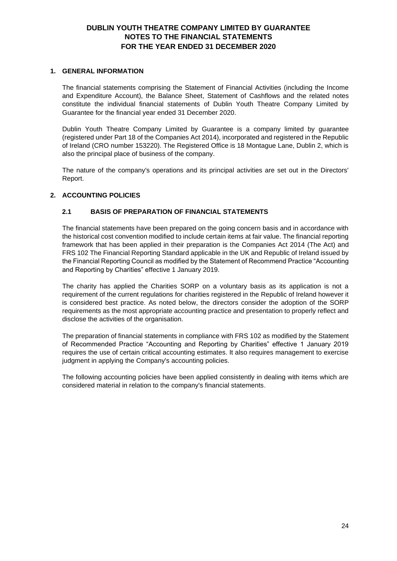#### <span id="page-23-0"></span>**1. GENERAL INFORMATION**

The financial statements comprising the Statement of Financial Activities (including the Income and Expenditure Account), the Balance Sheet, Statement of Cashflows and the related notes constitute the individual financial statements of Dublin Youth Theatre Company Limited by Guarantee for the financial year ended 31 December 2020.

Dublin Youth Theatre Company Limited by Guarantee is a company limited by guarantee (registered under Part 18 of the Companies Act 2014), incorporated and registered in the Republic of Ireland (CRO number 153220). The Registered Office is 18 Montague Lane, Dublin 2, which is also the principal place of business of the company.

The nature of the company's operations and its principal activities are set out in the Directors' Report.

### **2. ACCOUNTING POLICIES**

### **2.1 BASIS OF PREPARATION OF FINANCIAL STATEMENTS**

The financial statements have been prepared on the going concern basis and in accordance with the historical cost convention modified to include certain items at fair value. The financial reporting framework that has been applied in their preparation is the Companies Act 2014 (The Act) and FRS 102 The Financial Reporting Standard applicable in the UK and Republic of Ireland issued by the Financial Reporting Council as modified by the Statement of Recommend Practice "Accounting and Reporting by Charities" effective 1 January 2019.

The charity has applied the Charities SORP on a voluntary basis as its application is not a requirement of the current regulations for charities registered in the Republic of Ireland however it is considered best practice. As noted below, the directors consider the adoption of the SORP requirements as the most appropriate accounting practice and presentation to properly reflect and disclose the activities of the organisation.

The preparation of financial statements in compliance with FRS 102 as modified by the Statement of Recommended Practice "Accounting and Reporting by Charities" effective 1 January 2019 requires the use of certain critical accounting estimates. It also requires management to exercise judgment in applying the Company's accounting policies.

The following accounting policies have been applied consistently in dealing with items which are considered material in relation to the company's financial statements.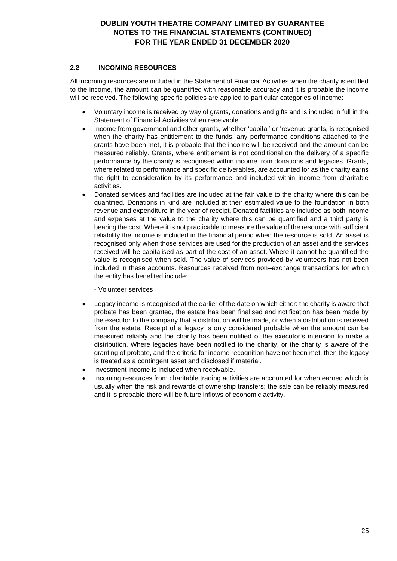# **2.2 INCOMING RESOURCES**

All incoming resources are included in the Statement of Financial Activities when the charity is entitled to the income, the amount can be quantified with reasonable accuracy and it is probable the income will be received. The following specific policies are applied to particular categories of income:

- Voluntary income is received by way of grants, donations and gifts and is included in full in the Statement of Financial Activities when receivable.
- Income from government and other grants, whether 'capital' or 'revenue grants, is recognised when the charity has entitlement to the funds, any performance conditions attached to the grants have been met, it is probable that the income will be received and the amount can be measured reliably. Grants, where entitlement is not conditional on the delivery of a specific performance by the charity is recognised within income from donations and legacies. Grants, where related to performance and specific deliverables, are accounted for as the charity earns the right to consideration by its performance and included within income from charitable activities.
- Donated services and facilities are included at the fair value to the charity where this can be quantified. Donations in kind are included at their estimated value to the foundation in both revenue and expenditure in the year of receipt. Donated facilities are included as both income and expenses at the value to the charity where this can be quantified and a third party is bearing the cost. Where it is not practicable to measure the value of the resource with sufficient reliability the income is included in the financial period when the resource is sold. An asset is recognised only when those services are used for the production of an asset and the services received will be capitalised as part of the cost of an asset. Where it cannot be quantified the value is recognised when sold. The value of services provided by volunteers has not been included in these accounts. Resources received from non–exchange transactions for which the entity has benefited include:
	- Volunteer services
- Legacy income is recognised at the earlier of the date on which either: the charity is aware that probate has been granted, the estate has been finalised and notification has been made by the executor to the company that a distribution will be made, or when a distribution is received from the estate. Receipt of a legacy is only considered probable when the amount can be measured reliably and the charity has been notified of the executor's intension to make a distribution. Where legacies have been notified to the charity, or the charity is aware of the granting of probate, and the criteria for income recognition have not been met, then the legacy is treated as a contingent asset and disclosed if material.
- Investment income is included when receivable.
- Incoming resources from charitable trading activities are accounted for when earned which is usually when the risk and rewards of ownership transfers; the sale can be reliably measured and it is probable there will be future inflows of economic activity.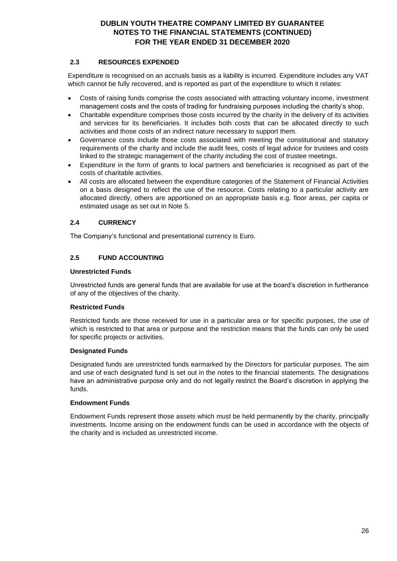# **2.3 RESOURCES EXPENDED**

Expenditure is recognised on an accruals basis as a liability is incurred. Expenditure includes any VAT which cannot be fully recovered, and is reported as part of the expenditure to which it relates:

- Costs of raising funds comprise the costs associated with attracting voluntary income, investment management costs and the costs of trading for fundraising purposes including the charity's shop.
- Charitable expenditure comprises those costs incurred by the charity in the delivery of its activities and services for its beneficiaries. It includes both costs that can be allocated directly to such activities and those costs of an indirect nature necessary to support them.
- Governance costs include those costs associated with meeting the constitutional and statutory requirements of the charity and include the audit fees, costs of legal advice for trustees and costs linked to the strategic management of the charity including the cost of trustee meetings.
- Expenditure in the form of grants to local partners and beneficiaries is recognised as part of the costs of charitable activities.
- All costs are allocated between the expenditure categories of the Statement of Financial Activities on a basis designed to reflect the use of the resource. Costs relating to a particular activity are allocated directly, others are apportioned on an appropriate basis e.g. floor areas, per capita or estimated usage as set out in Note 5.

# **2.4 CURRENCY**

The Company's functional and presentational currency is Euro.

# **2.5 FUND ACCOUNTING**

### **Unrestricted Funds**

Unrestricted funds are general funds that are available for use at the board's discretion in furtherance of any of the objectives of the charity.

# **Restricted Funds**

Restricted funds are those received for use in a particular area or for specific purposes, the use of which is restricted to that area or purpose and the restriction means that the funds can only be used for specific projects or activities.

# **Designated Funds**

Designated funds are unrestricted funds earmarked by the Directors for particular purposes. The aim and use of each designated fund is set out in the notes to the financial statements. The designations have an administrative purpose only and do not legally restrict the Board's discretion in applying the funds.

#### **Endowment Funds**

Endowment Funds represent those assets which must be held permanently by the charity, principally investments. Income arising on the endowment funds can be used in accordance with the objects of the charity and is included as unrestricted income.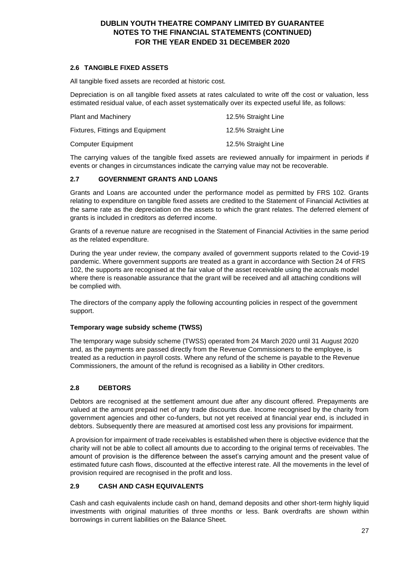# **2.6 TANGIBLE FIXED ASSETS**

All tangible fixed assets are recorded at historic cost.

Depreciation is on all tangible fixed assets at rates calculated to write off the cost or valuation, less estimated residual value, of each asset systematically over its expected useful life, as follows:

| <b>Plant and Machinery</b>       | 12.5% Straight Line |
|----------------------------------|---------------------|
| Fixtures, Fittings and Equipment | 12.5% Straight Line |
| <b>Computer Equipment</b>        | 12.5% Straight Line |

The carrying values of the tangible fixed assets are reviewed annually for impairment in periods if events or changes in circumstances indicate the carrying value may not be recoverable.

### **2.7 GOVERNMENT GRANTS AND LOANS**

Grants and Loans are accounted under the performance model as permitted by FRS 102. Grants relating to expenditure on tangible fixed assets are credited to the Statement of Financial Activities at the same rate as the depreciation on the assets to which the grant relates. The deferred element of grants is included in creditors as deferred income.

Grants of a revenue nature are recognised in the Statement of Financial Activities in the same period as the related expenditure.

During the year under review, the company availed of government supports related to the Covid-19 pandemic. Where government supports are treated as a grant in accordance with Section 24 of FRS 102, the supports are recognised at the fair value of the asset receivable using the accruals model where there is reasonable assurance that the grant will be received and all attaching conditions will be complied with.

The directors of the company apply the following accounting policies in respect of the government support.

#### **Temporary wage subsidy scheme (TWSS)**

The temporary wage subsidy scheme (TWSS) operated from 24 March 2020 until 31 August 2020 and, as the payments are passed directly from the Revenue Commissioners to the employee, is treated as a reduction in payroll costs. Where any refund of the scheme is payable to the Revenue Commissioners, the amount of the refund is recognised as a liability in Other creditors.

# **2.8 DEBTORS**

Debtors are recognised at the settlement amount due after any discount offered. Prepayments are valued at the amount prepaid net of any trade discounts due. Income recognised by the charity from government agencies and other co-funders, but not yet received at financial year end, is included in debtors. Subsequently there are measured at amortised cost less any provisions for impairment.

A provision for impairment of trade receivables is established when there is objective evidence that the charity will not be able to collect all amounts due to according to the original terms of receivables. The amount of provision is the difference between the asset's carrying amount and the present value of estimated future cash flows, discounted at the effective interest rate. All the movements in the level of provision required are recognised in the profit and loss.

# **2.9 CASH AND CASH EQUIVALENTS**

Cash and cash equivalents include cash on hand, demand deposits and other short-term highly liquid investments with original maturities of three months or less. Bank overdrafts are shown within borrowings in current liabilities on the Balance Sheet.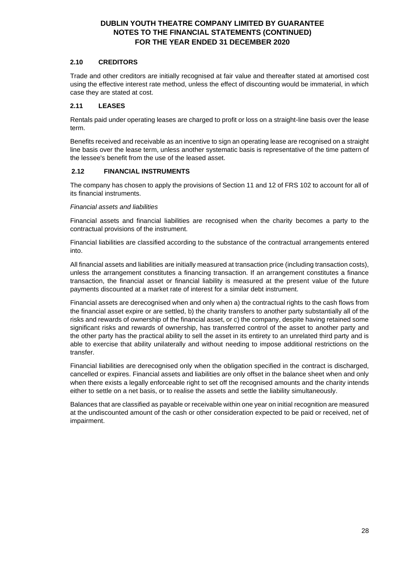### **2.10 CREDITORS**

Trade and other creditors are initially recognised at fair value and thereafter stated at amortised cost using the effective interest rate method, unless the effect of discounting would be immaterial, in which case they are stated at cost.

### **2.11 LEASES**

Rentals paid under operating leases are charged to profit or loss on a straight-line basis over the lease term.

Benefits received and receivable as an incentive to sign an operating lease are recognised on a straight line basis over the lease term, unless another systematic basis is representative of the time pattern of the lessee's benefit from the use of the leased asset.

# **2.12 FINANCIAL INSTRUMENTS**

The company has chosen to apply the provisions of Section 11 and 12 of FRS 102 to account for all of its financial instruments.

#### *Financial assets and liabilities*

Financial assets and financial liabilities are recognised when the charity becomes a party to the contractual provisions of the instrument.

Financial liabilities are classified according to the substance of the contractual arrangements entered into.

All financial assets and liabilities are initially measured at transaction price (including transaction costs), unless the arrangement constitutes a financing transaction. If an arrangement constitutes a finance transaction, the financial asset or financial liability is measured at the present value of the future payments discounted at a market rate of interest for a similar debt instrument.

Financial assets are derecognised when and only when a) the contractual rights to the cash flows from the financial asset expire or are settled, b) the charity transfers to another party substantially all of the risks and rewards of ownership of the financial asset, or c) the company, despite having retained some significant risks and rewards of ownership, has transferred control of the asset to another party and the other party has the practical ability to sell the asset in its entirety to an unrelated third party and is able to exercise that ability unilaterally and without needing to impose additional restrictions on the transfer.

Financial liabilities are derecognised only when the obligation specified in the contract is discharged, cancelled or expires. Financial assets and liabilities are only offset in the balance sheet when and only when there exists a legally enforceable right to set off the recognised amounts and the charity intends either to settle on a net basis, or to realise the assets and settle the liability simultaneously.

Balances that are classified as payable or receivable within one year on initial recognition are measured at the undiscounted amount of the cash or other consideration expected to be paid or received, net of impairment.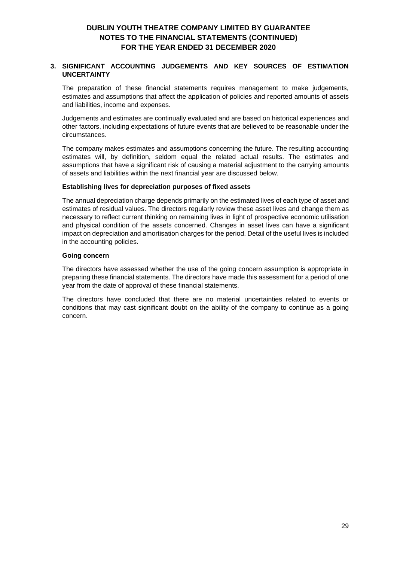### **3. SIGNIFICANT ACCOUNTING JUDGEMENTS AND KEY SOURCES OF ESTIMATION UNCERTAINTY**

The preparation of these financial statements requires management to make judgements, estimates and assumptions that affect the application of policies and reported amounts of assets and liabilities, income and expenses.

Judgements and estimates are continually evaluated and are based on historical experiences and other factors, including expectations of future events that are believed to be reasonable under the circumstances.

The company makes estimates and assumptions concerning the future. The resulting accounting estimates will, by definition, seldom equal the related actual results. The estimates and assumptions that have a significant risk of causing a material adjustment to the carrying amounts of assets and liabilities within the next financial year are discussed below.

#### **Establishing lives for depreciation purposes of fixed assets**

The annual depreciation charge depends primarily on the estimated lives of each type of asset and estimates of residual values. The directors regularly review these asset lives and change them as necessary to reflect current thinking on remaining lives in light of prospective economic utilisation and physical condition of the assets concerned. Changes in asset lives can have a significant impact on depreciation and amortisation charges for the period. Detail of the useful lives is included in the accounting policies.

#### **Going concern**

The directors have assessed whether the use of the going concern assumption is appropriate in preparing these financial statements. The directors have made this assessment for a period of one year from the date of approval of these financial statements.

The directors have concluded that there are no material uncertainties related to events or conditions that may cast significant doubt on the ability of the company to continue as a going concern.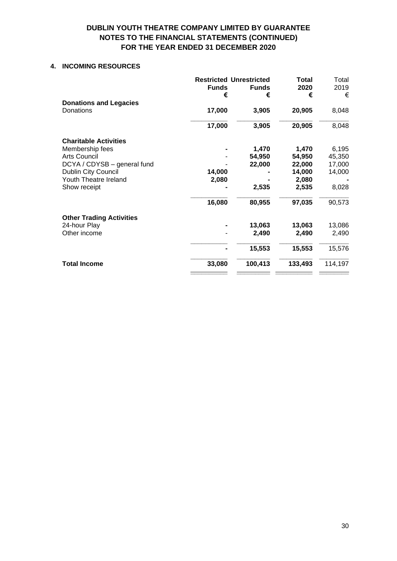### **4. INCOMING RESOURCES**

|                                            | <b>Funds</b><br>€ | <b>Restricted Unrestricted</b><br><b>Funds</b><br>€ | <b>Total</b><br>2020<br>€ | Total<br>2019<br>€ |
|--------------------------------------------|-------------------|-----------------------------------------------------|---------------------------|--------------------|
| <b>Donations and Legacies</b><br>Donations | 17,000            | 3,905                                               | 20,905                    | 8,048              |
|                                            | 17,000            | 3,905                                               | 20,905                    | 8,048              |
| <b>Charitable Activities</b>               |                   |                                                     |                           |                    |
| Membership fees                            |                   | 1,470                                               | 1,470                     | 6,195              |
| <b>Arts Council</b>                        |                   | 54,950                                              | 54,950                    | 45,350             |
| DCYA / CDYSB - general fund                |                   | 22,000                                              | 22,000                    | 17,000             |
| Dublin City Council                        | 14,000            |                                                     | 14,000                    | 14,000             |
| Youth Theatre Ireland                      | 2,080             |                                                     | 2,080                     |                    |
| Show receipt                               |                   | 2,535                                               | 2,535                     | 8,028              |
|                                            | 16,080            | 80,955                                              | 97,035                    | 90,573             |
| <b>Other Trading Activities</b>            |                   |                                                     |                           |                    |
| 24-hour Play                               |                   | 13,063                                              | 13,063                    | 13,086             |
| Other income                               |                   | 2,490                                               | 2,490                     | 2,490              |
|                                            |                   | 15,553                                              | 15,553                    | 15,576             |
| <b>Total Income</b>                        | 33,080            | 100,413                                             | 133,493                   | 114,197            |
|                                            |                   |                                                     |                           |                    |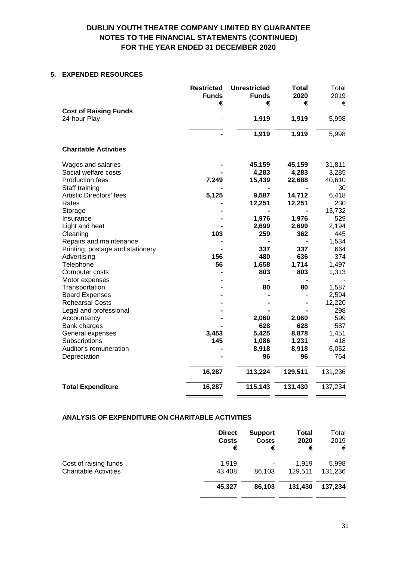### **5. EXPENDED RESOURCES**

|                                                 | <b>Restricted</b><br><b>Funds</b> | <b>Unrestricted</b><br><b>Funds</b> | Total<br>2020 | Total<br>2019  |
|-------------------------------------------------|-----------------------------------|-------------------------------------|---------------|----------------|
|                                                 | €                                 | €                                   | €             | €              |
| <b>Cost of Raising Funds</b>                    |                                   |                                     |               |                |
| 24-hour Play                                    |                                   | 1,919                               | 1,919         | 5,998          |
|                                                 |                                   | 1,919                               | 1,919         | 5,998          |
| <b>Charitable Activities</b>                    |                                   |                                     |               |                |
| Wages and salaries                              |                                   | 45,159                              | 45,159        | 31,811         |
| Social welfare costs                            |                                   | 4,283                               | 4,283         | 3,285          |
| Production fees                                 | 7,249                             | 15,439                              | 22,688        | 40,610         |
| Staff training                                  |                                   |                                     |               | 30             |
| <b>Artistic Directors' fees</b>                 | 5,125                             | 9,587                               | 14,712        | 6,418          |
| Rates                                           |                                   | 12,251                              | 12,251        | 230            |
| Storage                                         |                                   |                                     |               | 13,732         |
| Insurance                                       |                                   | 1,976                               | 1,976         | 529            |
| Light and heat                                  |                                   | 2,699                               | 2,699         | 2,194          |
| Cleaning                                        | 103                               | 259                                 | 362           | 445            |
| Repairs and maintenance                         |                                   |                                     |               | 1,534          |
| Printing, postage and stationery                |                                   | 337                                 | 337           | 664            |
| Advertising                                     | 156                               | 480                                 | 636           | 374            |
| Telephone                                       | 56                                | 1,658                               | 1,714         | 1,497          |
| Computer costs                                  |                                   | 803                                 | 803           | 1,313          |
| Motor expenses                                  |                                   |                                     |               |                |
| Transportation                                  |                                   | 80                                  | 80            | 1,587<br>2,594 |
| <b>Board Expenses</b><br><b>Rehearsal Costs</b> |                                   |                                     |               |                |
| Legal and professional                          |                                   |                                     |               | 12,220<br>298  |
| Accountancy                                     |                                   | 2,060                               | 2,060         | 599            |
| Bank charges                                    |                                   | 628                                 | 628           | 587            |
| General expenses                                | 3,453                             | 5,425                               | 8,878         | 1,451          |
| Subscriptions                                   | 145                               | 1,086                               | 1,231         | 418            |
| Auditor's remuneration                          |                                   | 8,918                               | 8,918         | 6,052          |
| Depreciation                                    |                                   | 96                                  | 96            | 764            |
|                                                 | 16,287                            | 113,224                             | 129,511       | 131,236        |
| <b>Total Expenditure</b>                        | 16,287                            | 115,143                             | 131,430       | 137,234        |
|                                                 |                                   |                                     |               |                |

#### **ANALYSIS OF EXPENDITURE ON CHARITABLE ACTIVITIES**

|                              | <b>Direct</b> | <b>Support</b> | <b>Total</b> | Total   |
|------------------------------|---------------|----------------|--------------|---------|
|                              | <b>Costs</b>  | <b>Costs</b>   | 2020         | 2019    |
|                              | €             | €              | €            | €       |
| Cost of raising funds        | 1,919         | ۰              | 1.919        | 5,998   |
| <b>Charitable Activities</b> | 43.408        | 86.103         | 129.511      | 131,236 |
|                              | 45.327        | 86.103         | 131.430      | 137,234 |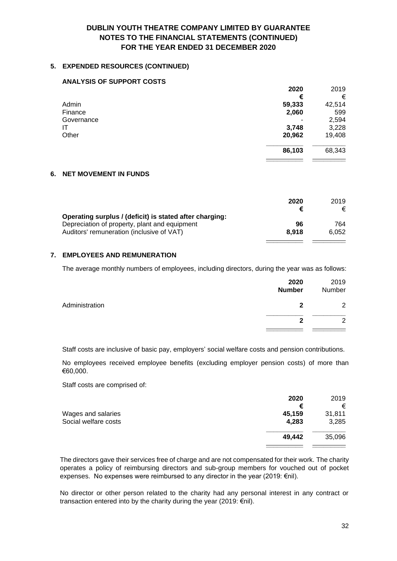### **5. EXPENDED RESOURCES (CONTINUED)**

#### **ANALYSIS OF SUPPORT COSTS**

|            | 2020   | 2019   |
|------------|--------|--------|
|            | €      | €      |
| Admin      | 59,333 | 42,514 |
| Finance    | 2,060  | 599    |
| Governance |        | 2,594  |
| IT         | 3,748  | 3,228  |
| Other      | 20,962 | 19,408 |
|            | 86,103 | 68,343 |
|            |        |        |

### **6. NET MOVEMENT IN FUNDS**

|                                                                                                                                                       | 2020        | 2019<br>€    |
|-------------------------------------------------------------------------------------------------------------------------------------------------------|-------------|--------------|
| Operating surplus / (deficit) is stated after charging:<br>Depreciation of property, plant and equipment<br>Auditors' remuneration (inclusive of VAT) | 96<br>8.918 | 764<br>6.052 |
|                                                                                                                                                       |             |              |

#### **7. EMPLOYEES AND REMUNERATION**

The average monthly numbers of employees, including directors, during the year was as follows:

|                | 2020<br><b>Number</b> | 2019<br>Number |
|----------------|-----------------------|----------------|
| Administration | 2                     | $\overline{2}$ |
|                | າ                     | $\Omega$       |
|                |                       |                |

Staff costs are inclusive of basic pay, employers' social welfare costs and pension contributions.

No employees received employee benefits (excluding employer pension costs) of more than €60,000.

Staff costs are comprised of:

|                      | 2020   | 2019   |
|----------------------|--------|--------|
|                      | €      | €      |
| Wages and salaries   | 45,159 | 31,811 |
| Social welfare costs | 4,283  | 3,285  |
|                      | 49,442 | 35,096 |
|                      |        |        |

The directors gave their services free of charge and are not compensated for their work. The charity operates a policy of reimbursing directors and sub-group members for vouched out of pocket expenses. No expenses were reimbursed to any director in the year (2019: €nil).

No director or other person related to the charity had any personal interest in any contract or transaction entered into by the charity during the year (2019: €nil).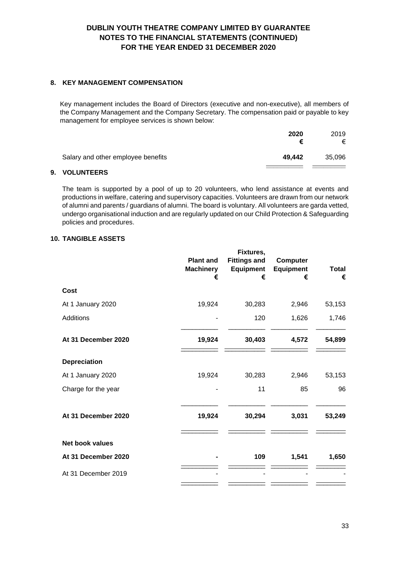### **8. KEY MANAGEMENT COMPENSATION**

Key management includes the Board of Directors (executive and non-executive), all members of the Company Management and the Company Secretary. The compensation paid or payable to key management for employee services is shown below:

|                                    | 2020<br>€ | 2019<br>€ |
|------------------------------------|-----------|-----------|
| Salary and other employee benefits | 49,442    | 35,096    |

#### **9. VOLUNTEERS**

The team is supported by a pool of up to 20 volunteers, who lend assistance at events and productions in welfare, catering and supervisory capacities. Volunteers are drawn from our network of alumni and parents / guardians of alumni. The board is voluntary. All volunteers are garda vetted, undergo organisational induction and are regularly updated on our Child Protection & Safeguarding policies and procedures.

# **10. TANGIBLE ASSETS**

|                        | <b>Plant and</b><br><b>Machinery</b><br>€ | Fixtures,<br><b>Fittings and</b><br>Equipment<br>€ | <b>Computer</b><br><b>Equipment</b><br>€ | <b>Total</b><br>€ |
|------------------------|-------------------------------------------|----------------------------------------------------|------------------------------------------|-------------------|
| <b>Cost</b>            |                                           |                                                    |                                          |                   |
| At 1 January 2020      | 19,924                                    | 30,283                                             | 2,946                                    | 53,153            |
| <b>Additions</b>       |                                           | 120                                                | 1,626                                    | 1,746             |
| At 31 December 2020    | 19,924                                    | 30,403                                             | 4,572                                    | 54,899            |
| <b>Depreciation</b>    |                                           |                                                    |                                          |                   |
| At 1 January 2020      | 19,924                                    | 30,283                                             | 2,946                                    | 53,153            |
| Charge for the year    |                                           | 11                                                 | 85                                       | 96                |
| At 31 December 2020    | 19,924                                    | 30,294                                             | 3,031                                    | 53,249            |
| <b>Net book values</b> |                                           |                                                    |                                          |                   |
| At 31 December 2020    |                                           | 109                                                | 1,541                                    | 1,650             |
| At 31 December 2019    |                                           |                                                    |                                          |                   |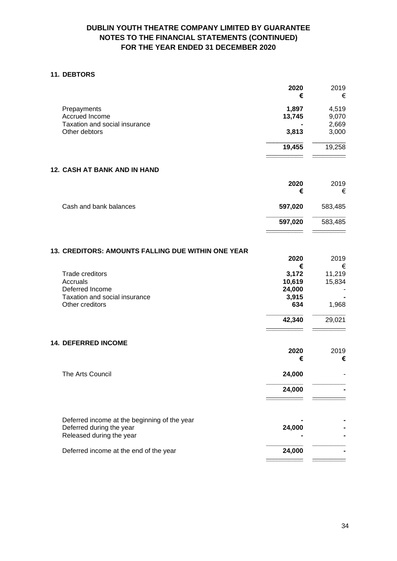### **11. DEBTORS**

|                               | 2020<br>€ | 2019<br>€ |
|-------------------------------|-----------|-----------|
| Prepayments                   | 1,897     | 4,519     |
| Accrued Income                | 13,745    | 9,070     |
| Taxation and social insurance |           | 2,669     |
| Other debtors                 | 3,813     | 3,000     |
|                               | 19,455    | 19,258    |
| 12. CASH AT BANK AND IN HAND  |           |           |
|                               | 2020<br>€ | 2019<br>€ |
| Cash and bank balances        | 597,020   | 583,485   |

### **13. CREDITORS: AMOUNTS FALLING DUE WITHIN ONE YEAR**

|                                              | 2020<br>€ | 2019<br>€ |
|----------------------------------------------|-----------|-----------|
| <b>Trade creditors</b>                       | 3,172     | 11,219    |
| Accruals                                     | 10,619    | 15,834    |
| Deferred Income                              | 24,000    |           |
| Taxation and social insurance                | 3,915     |           |
| Other creditors                              | 634       |           |
|                                              |           | 1,968     |
|                                              | 42,340    | 29,021    |
|                                              |           |           |
| <b>14. DEFERRED INCOME</b>                   | 2020      | 2019      |
|                                              | €         | €         |
|                                              |           |           |
| The Arts Council                             | 24,000    |           |
|                                              | 24,000    |           |
|                                              |           |           |
| Deferred income at the beginning of the year |           |           |
| Deferred during the year                     | 24,000    |           |
| Released during the year                     |           |           |
| Deferred income at the end of the year       | 24,000    |           |
|                                              |           |           |

**\_\_\_\_\_\_\_\_\_\_ \_\_\_\_\_\_\_\_\_ 597,020** 583,485 **\_\_\_\_\_\_\_\_\_\_ \_\_\_\_\_\_\_\_\_**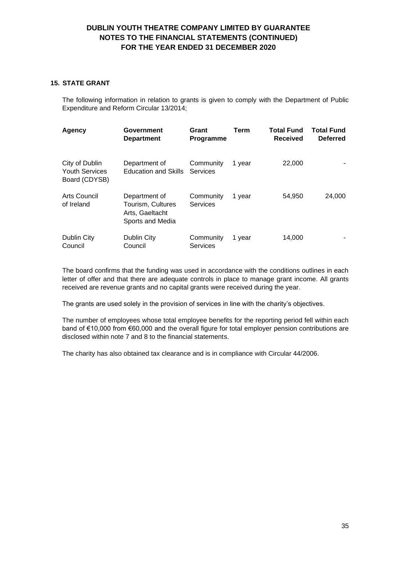### **15. STATE GRANT**

The following information in relation to grants is given to comply with the Department of Public Expenditure and Reform Circular 13/2014;

| Agency                                                   | <b>Government</b><br><b>Department</b>                                    | Grant<br>Programme           | <b>Term</b> | <b>Total Fund</b><br><b>Received</b> | <b>Total Fund</b><br><b>Deferred</b> |
|----------------------------------------------------------|---------------------------------------------------------------------------|------------------------------|-------------|--------------------------------------|--------------------------------------|
| City of Dublin<br><b>Youth Services</b><br>Board (CDYSB) | Department of<br><b>Education and Skills</b>                              | Community<br>Services        | 1 year      | 22,000                               |                                      |
| Arts Council<br>of Ireland                               | Department of<br>Tourism, Cultures<br>Arts, Gaeltacht<br>Sports and Media | Community<br><b>Services</b> | 1 year      | 54,950                               | 24,000                               |
| Dublin City<br>Council                                   | Dublin City<br>Council                                                    | Community<br><b>Services</b> | 1 year      | 14,000                               |                                      |

The board confirms that the funding was used in accordance with the conditions outlines in each letter of offer and that there are adequate controls in place to manage grant income. All grants received are revenue grants and no capital grants were received during the year.

The grants are used solely in the provision of services in line with the charity's objectives.

The number of employees whose total employee benefits for the reporting period fell within each band of €10,000 from €60,000 and the overall figure for total employer pension contributions are disclosed within note 7 and 8 to the financial statements.

The charity has also obtained tax clearance and is in compliance with Circular 44/2006.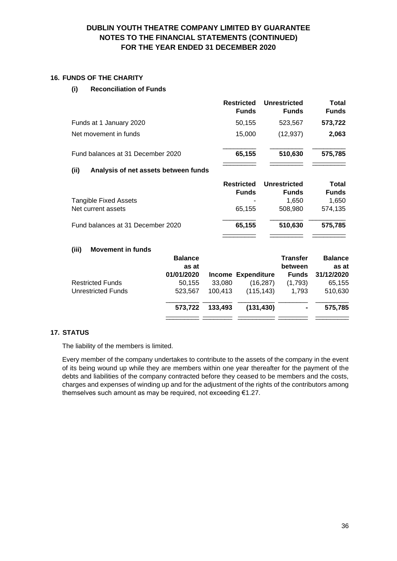### **16. FUNDS OF THE CHARITY**

### **(i) Reconciliation of Funds**

|                                   | <b>Restricted</b><br><b>Funds</b> | <b>Unrestricted</b><br><b>Funds</b> | Total<br><b>Funds</b> |
|-----------------------------------|-----------------------------------|-------------------------------------|-----------------------|
| Funds at 1 January 2020           | 50,155                            | 523,567                             | 573,722               |
| Net movement in funds             | 15.000                            | (12, 937)                           | 2,063                 |
| Fund balances at 31 December 2020 | 65,155                            | 510,630                             | 575,785               |

\_\_\_\_\_\_\_\_\_ \_\_\_\_\_\_\_\_\_ \_\_\_\_\_\_\_\_\_

### **(ii) Analysis of net assets between funds**

|                                   | <b>Restricted</b><br><b>Funds</b> | <b>Unrestricted</b><br><b>Funds</b> | Total<br><b>Funds</b> |
|-----------------------------------|-----------------------------------|-------------------------------------|-----------------------|
| <b>Tangible Fixed Assets</b>      |                                   | 1.650                               | 1,650                 |
| Net current assets                | 65.155                            | 508,980                             | 574.135               |
| Fund balances at 31 December 2020 | 65,155                            | 510,630                             | 575,785               |
|                                   |                                   |                                     |                       |

#### **(iii) Movement in funds**

|                         | <b>Balance</b><br>as at |         |                           | <b>Transfer</b><br>between | <b>Balance</b><br>as at |
|-------------------------|-------------------------|---------|---------------------------|----------------------------|-------------------------|
|                         | 01/01/2020              |         | <b>Income Expenditure</b> | <b>Funds</b>               | 31/12/2020              |
| <b>Restricted Funds</b> | 50,155                  | 33,080  | (16, 287)                 | (1,793)                    | 65,155                  |
| Unrestricted Funds      | 523.567                 | 100.413 | (115, 143)                | 1.793                      | 510,630                 |
|                         | 573.722                 | 133,493 | (131, 430)                | ۰                          | 575,785                 |
|                         |                         |         |                           |                            |                         |

### **17. STATUS**

The liability of the members is limited.

Every member of the company undertakes to contribute to the assets of the company in the event of its being wound up while they are members within one year thereafter for the payment of the debts and liabilities of the company contracted before they ceased to be members and the costs, charges and expenses of winding up and for the adjustment of the rights of the contributors among themselves such amount as may be required, not exceeding €1.27.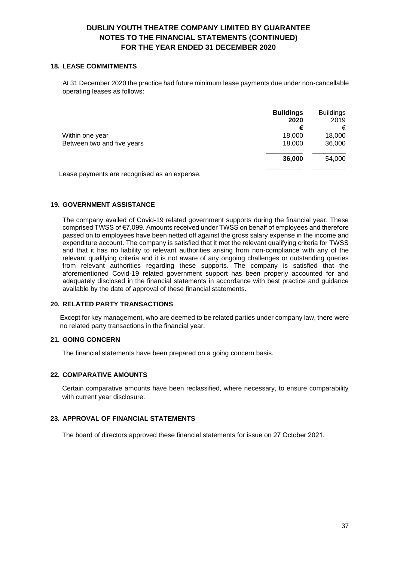#### **18. LEASE COMMITMENTS**

At 31 December 2020 the practice had future minimum lease payments due under non-cancellable operating leases as follows:

|                            | <b>Buildings</b><br>2020 | <b>Buildings</b><br>2019 |
|----------------------------|--------------------------|--------------------------|
|                            | €                        | €                        |
| Within one year            | 18,000                   | 18,000                   |
| Between two and five years | 18,000                   | 36,000                   |
|                            | 36,000                   | 54,000                   |
|                            |                          |                          |

Lease payments are recognised as an expense.

#### **19. GOVERNMENT ASSISTANCE**

The company availed of Covid-19 related government supports during the financial year. These comprised TWSS of €7,099. Amounts received under TWSS on behalf of employees and therefore passed on to employees have been netted off against the gross salary expense in the income and expenditure account. The company is satisfied that it met the relevant qualifying criteria for TWSS and that it has no liability to relevant authorities arising from non-compliance with any of the relevant qualifying criteria and it is not aware of any ongoing challenges or outstanding queries from relevant authorities regarding these supports. The company is satisfied that the aforementioned Covid-19 related government support has been properly accounted for and adequately disclosed in the financial statements in accordance with best practice and guidance available by the date of approval of these financial statements.

### **20. RELATED PARTY TRANSACTIONS**

Except for key management, who are deemed to be related parties under company law, there were no related party transactions in the financial year.

### **21. GOING CONCERN**

The financial statements have been prepared on a going concern basis.

#### **22. COMPARATIVE AMOUNTS**

Certain comparative amounts have been reclassified, where necessary, to ensure comparability with current year disclosure.

#### **23. APPROVAL OF FINANCIAL STATEMENTS**

The board of directors approved these financial statements for issue on 27 October 2021.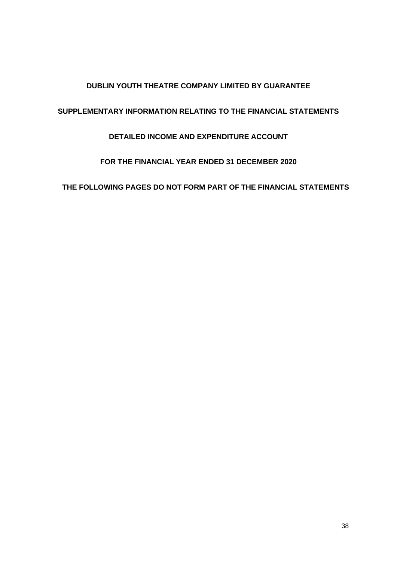# **DUBLIN YOUTH THEATRE COMPANY LIMITED BY GUARANTEE**

# <span id="page-37-0"></span>**SUPPLEMENTARY INFORMATION RELATING TO THE FINANCIAL STATEMENTS**

# **DETAILED INCOME AND EXPENDITURE ACCOUNT**

# **FOR THE FINANCIAL YEAR ENDED 31 DECEMBER 2020**

**THE FOLLOWING PAGES DO NOT FORM PART OF THE FINANCIAL STATEMENTS**